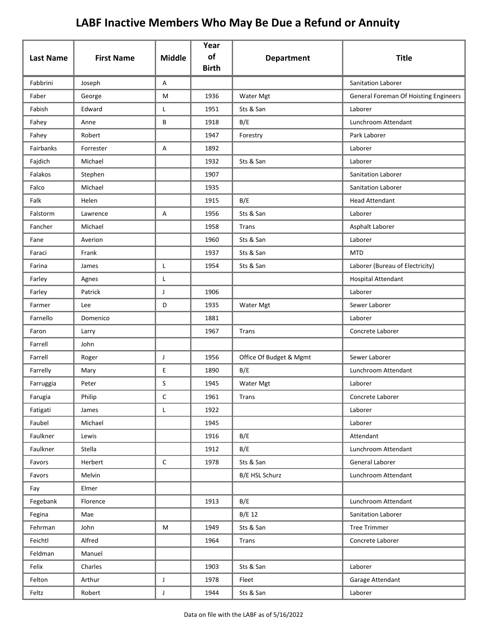| <b>Last Name</b> | <b>First Name</b> | <b>Middle</b> | Year<br>of<br><b>Birth</b> | <b>Department</b>       | <b>Title</b>                          |
|------------------|-------------------|---------------|----------------------------|-------------------------|---------------------------------------|
| Fabbrini         | Joseph            | Α             |                            |                         | Sanitation Laborer                    |
| Faber            | George            | M             | 1936                       | Water Mgt               | General Foreman Of Hoisting Engineers |
| Fabish           | Edward            | L             | 1951                       | Sts & San               | Laborer                               |
| Fahey            | Anne              | В             | 1918                       | B/E                     | Lunchroom Attendant                   |
| Fahey            | Robert            |               | 1947                       | Forestry                | Park Laborer                          |
| Fairbanks        | Forrester         | Α             | 1892                       |                         | Laborer                               |
| Fajdich          | Michael           |               | 1932                       | Sts & San               | Laborer                               |
| Falakos          | Stephen           |               | 1907                       |                         | Sanitation Laborer                    |
| Falco            | Michael           |               | 1935                       |                         | Sanitation Laborer                    |
| Falk             | Helen             |               | 1915                       | B/E                     | <b>Head Attendant</b>                 |
| Falstorm         | Lawrence          | Α             | 1956                       | Sts & San               | Laborer                               |
| Fancher          | Michael           |               | 1958                       | Trans                   | Asphalt Laborer                       |
| Fane             | Averion           |               | 1960                       | Sts & San               | Laborer                               |
| Faraci           | Frank             |               | 1937                       | Sts & San               | <b>MTD</b>                            |
| Farina           | James             | L             | 1954                       | Sts & San               | Laborer (Bureau of Electricity)       |
| Farley           | Agnes             | Г             |                            |                         | <b>Hospital Attendant</b>             |
| Farley           | Patrick           | J             | 1906                       |                         | Laborer                               |
| Farmer           | Lee               | D             | 1935                       | Water Mgt               | Sewer Laborer                         |
| Farnello         | Domenico          |               | 1881                       |                         | Laborer                               |
| Faron            | Larry             |               | 1967                       | Trans                   | Concrete Laborer                      |
| Farrell          | John              |               |                            |                         |                                       |
| Farrell          | Roger             | J             | 1956                       | Office Of Budget & Mgmt | Sewer Laborer                         |
| Farrelly         | Mary              | E             | 1890                       | B/E                     | Lunchroom Attendant                   |
| Farruggia        | Peter             | S             | 1945                       | Water Mgt               | Laborer                               |
| Farugia          | Philip            | C             | 1961                       | Trans                   | Concrete Laborer                      |
| Fatigati         | James             | L             | 1922                       |                         | Laborer                               |
| Faubel           | Michael           |               | 1945                       |                         | Laborer                               |
| Faulkner         | Lewis             |               | 1916                       | B/E                     | Attendant                             |
| Faulkner         | Stella            |               | 1912                       | B/E                     | Lunchroom Attendant                   |
| Favors           | Herbert           | $\mathsf C$   | 1978                       | Sts & San               | General Laborer                       |
| Favors           | Melvin            |               |                            | B/E HSL Schurz          | Lunchroom Attendant                   |
| Fay              | Elmer             |               |                            |                         |                                       |
| Fegebank         | Florence          |               | 1913                       | B/E                     | Lunchroom Attendant                   |
| Fegina           | Mae               |               |                            | B/E 12                  | Sanitation Laborer                    |
| Fehrman          | John              | M             | 1949                       | Sts & San               | <b>Tree Trimmer</b>                   |
| Feichtl          | Alfred            |               | 1964                       | Trans                   | Concrete Laborer                      |
| Feldman          | Manuel            |               |                            |                         |                                       |
| Felix            | Charles           |               | 1903                       | Sts & San               | Laborer                               |
| Felton           | Arthur            | $\mathsf J$   | 1978                       | Fleet                   | Garage Attendant                      |
| Feltz            | Robert            | $\mathsf{J}$  | 1944                       | Sts & San               | Laborer                               |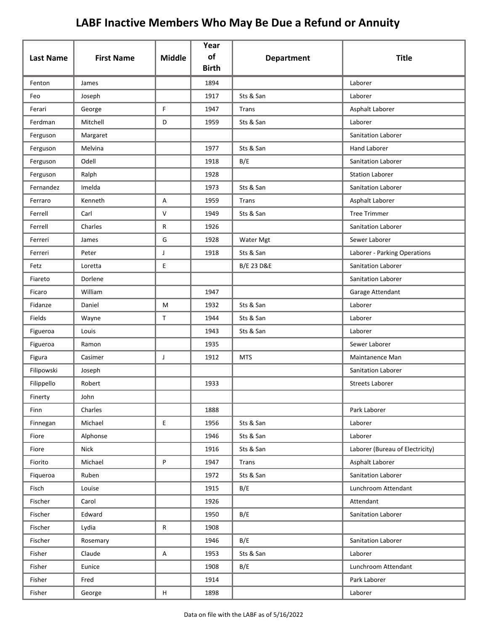| <b>Last Name</b> | <b>First Name</b> | <b>Middle</b> | Year<br>of   | <b>Department</b>     | <b>Title</b>                    |
|------------------|-------------------|---------------|--------------|-----------------------|---------------------------------|
|                  |                   |               | <b>Birth</b> |                       |                                 |
| Fenton           | James             |               | 1894         |                       | Laborer                         |
| Feo              | Joseph            |               | 1917         | Sts & San             | Laborer                         |
| Ferari           | George            | F.            | 1947         | Trans                 | Asphalt Laborer                 |
| Ferdman          | Mitchell          | D             | 1959         | Sts & San             | Laborer                         |
| Ferguson         | Margaret          |               |              |                       | <b>Sanitation Laborer</b>       |
| Ferguson         | Melvina           |               | 1977         | Sts & San             | <b>Hand Laborer</b>             |
| Ferguson         | Odell             |               | 1918         | B/E                   | Sanitation Laborer              |
| Ferguson         | Ralph             |               | 1928         |                       | <b>Station Laborer</b>          |
| Fernandez        | Imelda            |               | 1973         | Sts & San             | Sanitation Laborer              |
| Ferraro          | Kenneth           | A             | 1959         | Trans                 | Asphalt Laborer                 |
| Ferrell          | Carl              | $\vee$        | 1949         | Sts & San             | <b>Tree Trimmer</b>             |
| Ferrell          | Charles           | $\mathsf{R}$  | 1926         |                       | Sanitation Laborer              |
| Ferreri          | James             | G             | 1928         | Water Mgt             | Sewer Laborer                   |
| Ferreri          | Peter             | J             | 1918         | Sts & San             | Laborer - Parking Operations    |
| Fetz             | Loretta           | E             |              | <b>B/E 23 D&amp;E</b> | Sanitation Laborer              |
| Fiareto          | Dorlene           |               |              |                       | Sanitation Laborer              |
| Ficaro           | William           |               | 1947         |                       | Garage Attendant                |
| Fidanze          | Daniel            | M             | 1932         | Sts & San             | Laborer                         |
| Fields           | Wayne             | $\mathsf{T}$  | 1944         | Sts & San             | Laborer                         |
| Figueroa         | Louis             |               | 1943         | Sts & San             | Laborer                         |
| Figueroa         | Ramon             |               | 1935         |                       | Sewer Laborer                   |
| Figura           | Casimer           | J             | 1912         | <b>MTS</b>            | Maintanence Man                 |
| Filipowski       | Joseph            |               |              |                       | Sanitation Laborer              |
| Filippello       | Robert            |               | 1933         |                       | <b>Streets Laborer</b>          |
| Finerty          | John              |               |              |                       |                                 |
| Finn             | Charles           |               | 1888         |                       | Park Laborer                    |
| Finnegan         | Michael           | E             | 1956         | Sts & San             | Laborer                         |
| Fiore            | Alphonse          |               | 1946         | Sts & San             | Laborer                         |
| Fiore            | Nick              |               | 1916         | Sts & San             | Laborer (Bureau of Electricity) |
| Fiorito          | Michael           | P             | 1947         | Trans                 | Asphalt Laborer                 |
| Fiqueroa         | Ruben             |               | 1972         | Sts & San             | Sanitation Laborer              |
| Fisch            | Louise            |               | 1915         | B/E                   | Lunchroom Attendant             |
| Fischer          | Carol             |               | 1926         |                       | Attendant                       |
| Fischer          | Edward            |               | 1950         | B/E                   | Sanitation Laborer              |
| Fischer          | Lydia             | R             | 1908         |                       |                                 |
| Fischer          | Rosemary          |               | 1946         | B/E                   | Sanitation Laborer              |
| Fisher           | Claude            | A             | 1953         | Sts & San             | Laborer                         |
| Fisher           | Eunice            |               | 1908         | B/E                   | Lunchroom Attendant             |
| Fisher           | Fred              |               | 1914         |                       | Park Laborer                    |
| Fisher           | George            | H             | 1898         |                       | Laborer                         |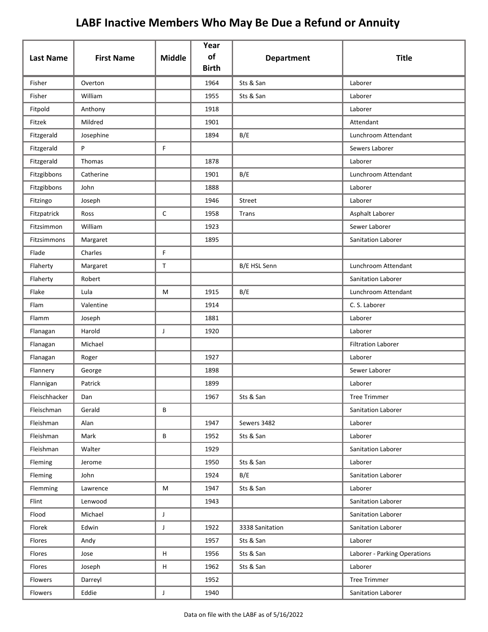| <b>Last Name</b> | <b>First Name</b> | <b>Middle</b> | Year<br>of   | <b>Department</b> | <b>Title</b>                 |
|------------------|-------------------|---------------|--------------|-------------------|------------------------------|
|                  |                   |               | <b>Birth</b> |                   |                              |
| Fisher           | Overton           |               | 1964         | Sts & San         | Laborer                      |
| Fisher           | William           |               | 1955         | Sts & San         | Laborer                      |
| Fitpold          | Anthony           |               | 1918         |                   | Laborer                      |
| Fitzek           | Mildred           |               | 1901         |                   | Attendant                    |
| Fitzgerald       | Josephine         |               | 1894         | B/E               | Lunchroom Attendant          |
| Fitzgerald       | P                 | F             |              |                   | Sewers Laborer               |
| Fitzgerald       | Thomas            |               | 1878         |                   | Laborer                      |
| Fitzgibbons      | Catherine         |               | 1901         | B/E               | Lunchroom Attendant          |
| Fitzgibbons      | John              |               | 1888         |                   | Laborer                      |
| Fitzingo         | Joseph            |               | 1946         | Street            | Laborer                      |
| Fitzpatrick      | Ross              | $\mathsf C$   | 1958         | Trans             | Asphalt Laborer              |
| Fitzsimmon       | William           |               | 1923         |                   | Sewer Laborer                |
| Fitzsimmons      | Margaret          |               | 1895         |                   | Sanitation Laborer           |
| Flade            | Charles           | F             |              |                   |                              |
| Flaherty         | Margaret          | T             |              | B/E HSL Senn      | Lunchroom Attendant          |
| Flaherty         | Robert            |               |              |                   | Sanitation Laborer           |
| Flake            | Lula              | M             | 1915         | B/E               | Lunchroom Attendant          |
| Flam             | Valentine         |               | 1914         |                   | C. S. Laborer                |
| Flamm            | Joseph            |               | 1881         |                   | Laborer                      |
| Flanagan         | Harold            | J             | 1920         |                   | Laborer                      |
| Flanagan         | Michael           |               |              |                   | <b>Filtration Laborer</b>    |
| Flanagan         | Roger             |               | 1927         |                   | Laborer                      |
| Flannery         | George            |               | 1898         |                   | Sewer Laborer                |
| Flannigan        | Patrick           |               | 1899         |                   | Laborer                      |
| Fleischhacker    | Dan               |               | 1967         | Sts & San         | <b>Tree Trimmer</b>          |
| Fleischman       | Gerald            | В             |              |                   | Sanitation Laborer           |
| Fleishman        | Alan              |               | 1947         | Sewers 3482       | Laborer                      |
| Fleishman        | Mark              | В             | 1952         | Sts & San         | Laborer                      |
| Fleishman        | Walter            |               | 1929         |                   | Sanitation Laborer           |
| Fleming          | Jerome            |               | 1950         | Sts & San         | Laborer                      |
| Fleming          | John              |               | 1924         | B/E               | Sanitation Laborer           |
| Flemming         | Lawrence          | M             | 1947         | Sts & San         | Laborer                      |
| Flint            | Lenwood           |               | 1943         |                   | Sanitation Laborer           |
| Flood            | Michael           | J             |              |                   | Sanitation Laborer           |
| Florek           | Edwin             | J             | 1922         | 3338 Sanitation   | Sanitation Laborer           |
| Flores           | Andy              |               | 1957         | Sts & San         | Laborer                      |
| Flores           | Jose              | Н             | 1956         | Sts & San         | Laborer - Parking Operations |
| Flores           | Joseph            | Н             | 1962         | Sts & San         | Laborer                      |
| Flowers          | Darreyl           |               | 1952         |                   | <b>Tree Trimmer</b>          |
| Flowers          | Eddie             | J             | 1940         |                   | Sanitation Laborer           |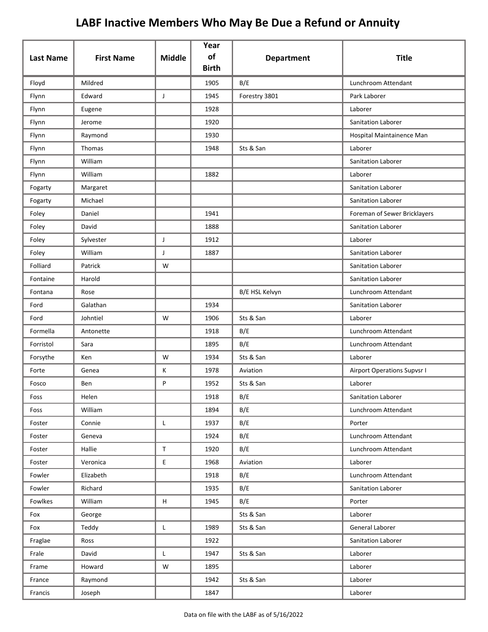| <b>Last Name</b> | <b>First Name</b> | <b>Middle</b> | Year<br>of   | <b>Department</b> | <b>Title</b>                       |
|------------------|-------------------|---------------|--------------|-------------------|------------------------------------|
|                  |                   |               | <b>Birth</b> |                   |                                    |
| Floyd            | Mildred           |               | 1905         | B/E               | Lunchroom Attendant                |
| Flynn            | Edward            | J             | 1945         | Forestry 3801     | Park Laborer                       |
| Flynn            | Eugene            |               | 1928         |                   | Laborer                            |
| Flynn            | Jerome            |               | 1920         |                   | <b>Sanitation Laborer</b>          |
| Flynn            | Raymond           |               | 1930         |                   | Hospital Maintainence Man          |
| Flynn            | Thomas            |               | 1948         | Sts & San         | Laborer                            |
| Flynn            | William           |               |              |                   | Sanitation Laborer                 |
| Flynn            | William           |               | 1882         |                   | Laborer                            |
| Fogarty          | Margaret          |               |              |                   | <b>Sanitation Laborer</b>          |
| Fogarty          | Michael           |               |              |                   | Sanitation Laborer                 |
| Foley            | Daniel            |               | 1941         |                   | Foreman of Sewer Bricklayers       |
| Foley            | David             |               | 1888         |                   | <b>Sanitation Laborer</b>          |
| Foley            | Sylvester         | J             | 1912         |                   | Laborer                            |
| Foley            | William           | J             | 1887         |                   | Sanitation Laborer                 |
| Folliard         | Patrick           | W             |              |                   | Sanitation Laborer                 |
| Fontaine         | Harold            |               |              |                   | Sanitation Laborer                 |
| Fontana          | Rose              |               |              | B/E HSL Kelvyn    | Lunchroom Attendant                |
| Ford             | Galathan          |               | 1934         |                   | Sanitation Laborer                 |
| Ford             | Johntiel          | W             | 1906         | Sts & San         | Laborer                            |
| Formella         | Antonette         |               | 1918         | B/E               | Lunchroom Attendant                |
| Forristol        | Sara              |               | 1895         | B/E               | Lunchroom Attendant                |
| Forsythe         | Ken               | W             | 1934         | Sts & San         | Laborer                            |
| Forte            | Genea             | К             | 1978         | Aviation          | <b>Airport Operations Supvsr I</b> |
| Fosco            | Ben               | P             | 1952         | Sts & San         | Laborer                            |
| Foss             | Helen             |               | 1918         | B/E               | Sanitation Laborer                 |
| Foss             | William           |               | 1894         | B/E               | Lunchroom Attendant                |
| Foster           | Connie            | L             | 1937         | B/E               | Porter                             |
| Foster           | Geneva            |               | 1924         | B/E               | Lunchroom Attendant                |
| Foster           | Hallie            | $\mathsf T$   | 1920         | B/E               | Lunchroom Attendant                |
| Foster           | Veronica          | E             | 1968         | Aviation          | Laborer                            |
| Fowler           | Elizabeth         |               | 1918         | B/E               | Lunchroom Attendant                |
| Fowler           | Richard           |               | 1935         | B/E               | Sanitation Laborer                 |
| Fowlkes          | William           | н             | 1945         | B/E               | Porter                             |
| Fox              | George            |               |              | Sts & San         | Laborer                            |
| Fox              | Teddy             | L             | 1989         | Sts & San         | General Laborer                    |
| Fraglae          | Ross              |               | 1922         |                   | Sanitation Laborer                 |
| Frale            | David             | L             | 1947         | Sts & San         | Laborer                            |
| Frame            | Howard            | W             | 1895         |                   | Laborer                            |
| France           | Raymond           |               | 1942         | Sts & San         | Laborer                            |
| Francis          | Joseph            |               | 1847         |                   | Laborer                            |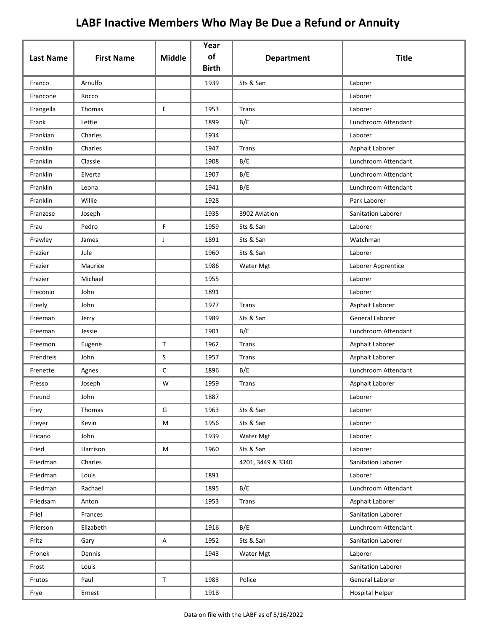| <b>Last Name</b> | <b>First Name</b> | <b>Middle</b> | Year<br>of<br><b>Birth</b> | <b>Department</b> | <b>Title</b>              |
|------------------|-------------------|---------------|----------------------------|-------------------|---------------------------|
| Franco           | Arnulfo           |               | 1939                       | Sts & San         | Laborer                   |
| Francone         | Rocco             |               |                            |                   | Laborer                   |
| Frangella        | Thomas            | E             | 1953                       | Trans             | Laborer                   |
| Frank            | Lettie            |               | 1899                       | B/E               | Lunchroom Attendant       |
| Frankian         | Charles           |               | 1934                       |                   | Laborer                   |
| Franklin         | Charles           |               | 1947                       | Trans             | Asphalt Laborer           |
| Franklin         | Classie           |               | 1908                       | B/E               | Lunchroom Attendant       |
| Franklin         | Elverta           |               | 1907                       | B/E               | Lunchroom Attendant       |
| Franklin         | Leona             |               | 1941                       | B/E               | Lunchroom Attendant       |
| Franklin         | Willie            |               | 1928                       |                   | Park Laborer              |
| Franzese         | Joseph            |               | 1935                       | 3902 Aviation     | <b>Sanitation Laborer</b> |
| Frau             | Pedro             | F             | 1959                       | Sts & San         | Laborer                   |
| Frawley          | James             | J             | 1891                       | Sts & San         | Watchman                  |
| Frazier          | Jule              |               | 1960                       | Sts & San         | Laborer                   |
| Frazier          | Maurice           |               | 1986                       | Water Mgt         | Laborer Apprentice        |
| Frazier          | Michael           |               | 1955                       |                   | Laborer                   |
| Freconio         | John              |               | 1891                       |                   | Laborer                   |
| Freely           | John              |               | 1977                       | Trans             | Asphalt Laborer           |
| Freeman          | Jerry             |               | 1989                       | Sts & San         | General Laborer           |
| Freeman          | Jessie            |               | 1901                       | B/E               | Lunchroom Attendant       |
| Freemon          | Eugene            | $\mathsf{T}$  | 1962                       | Trans             | Asphalt Laborer           |
| Frendreis        | John              | S             | 1957                       | Trans             | Asphalt Laborer           |
| Frenette         | Agnes             | $\mathsf C$   | 1896                       | B/E               | Lunchroom Attendant       |
| Fresso           | Joseph            | W             | 1959                       | <b>Trans</b>      | Asphalt Laborer           |
| Freund           | John              |               | 1887                       |                   | Laborer                   |
| Frey             | Thomas            | G             | 1963                       | Sts & San         | Laborer                   |
| Freyer           | Kevin             | M             | 1956                       | Sts & San         | Laborer                   |
| Fricano          | John              |               | 1939                       | Water Mgt         | Laborer                   |
| Fried            | Harrison          | M             | 1960                       | Sts & San         | Laborer                   |
| Friedman         | Charles           |               |                            | 4201, 3449 & 3340 | Sanitation Laborer        |
| Friedman         | Louis             |               | 1891                       |                   | Laborer                   |
| Friedman         | Rachael           |               | 1895                       | B/E               | Lunchroom Attendant       |
| Friedsam         | Anton             |               | 1953                       | Trans             | Asphalt Laborer           |
| Friel            | Frances           |               |                            |                   | Sanitation Laborer        |
| Frierson         | Elizabeth         |               | 1916                       | B/E               | Lunchroom Attendant       |
| Fritz            | Gary              | A             | 1952                       | Sts & San         | Sanitation Laborer        |
| Fronek           | Dennis            |               | 1943                       | Water Mgt         | Laborer                   |
| Frost            | Louis             |               |                            |                   | Sanitation Laborer        |
| Frutos           | Paul              | $\mathsf T$   | 1983                       | Police            | General Laborer           |
| Frye             | Ernest            |               | 1918                       |                   | <b>Hospital Helper</b>    |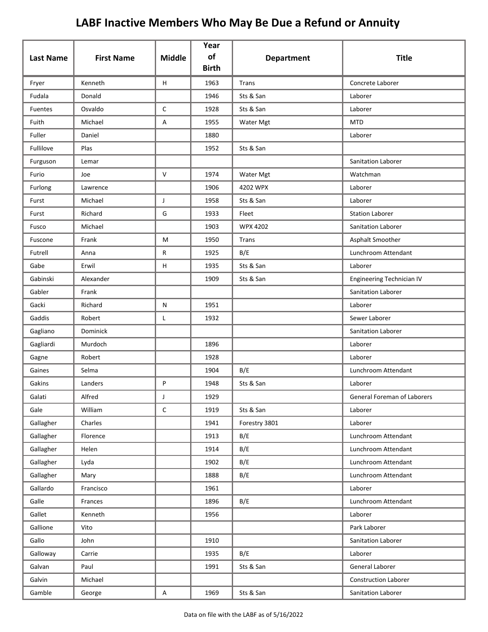| <b>Last Name</b> | <b>First Name</b> | <b>Middle</b> | Year<br>of<br><b>Birth</b> | <b>Department</b> | <b>Title</b>                |
|------------------|-------------------|---------------|----------------------------|-------------------|-----------------------------|
| Fryer            | Kenneth           | H             | 1963                       | <b>Trans</b>      | Concrete Laborer            |
| Fudala           | Donald            |               | 1946                       | Sts & San         | Laborer                     |
| Fuentes          | Osvaldo           | $\mathsf C$   | 1928                       | Sts & San         | Laborer                     |
| Fuith            | Michael           | Α             | 1955                       | <b>Water Mgt</b>  | <b>MTD</b>                  |
| Fuller           | Daniel            |               | 1880                       |                   | Laborer                     |
| Fullilove        | Plas              |               | 1952                       | Sts & San         |                             |
| Furguson         | Lemar             |               |                            |                   | Sanitation Laborer          |
| Furio            | Joe               | $\mathsf{V}$  | 1974                       | Water Mgt         | Watchman                    |
| Furlong          | Lawrence          |               | 1906                       | 4202 WPX          | Laborer                     |
| Furst            | Michael           | J             | 1958                       | Sts & San         | Laborer                     |
| Furst            | Richard           | G             | 1933                       | Fleet             | <b>Station Laborer</b>      |
| Fusco            | Michael           |               | 1903                       | <b>WPX 4202</b>   | Sanitation Laborer          |
| Fuscone          | Frank             | M             | 1950                       | Trans             | Asphalt Smoother            |
| Futrell          | Anna              | R             | 1925                       | B/E               | Lunchroom Attendant         |
| Gabe             | Erwil             | H             | 1935                       | Sts & San         | Laborer                     |
| Gabinski         | Alexander         |               | 1909                       | Sts & San         | Engineering Technician IV   |
| Gabler           | Frank             |               |                            |                   | Sanitation Laborer          |
| Gacki            | Richard           | N             | 1951                       |                   | Laborer                     |
| Gaddis           | Robert            | Г             | 1932                       |                   | Sewer Laborer               |
| Gagliano         | Dominick          |               |                            |                   | Sanitation Laborer          |
| Gagliardi        | Murdoch           |               | 1896                       |                   | Laborer                     |
| Gagne            | Robert            |               | 1928                       |                   | Laborer                     |
| Gaines           | Selma             |               | 1904                       | B/E               | Lunchroom Attendant         |
| Gakins           | Landers           | P             | 1948                       | Sts & San         | Laborer                     |
| Galati           | Alfred            | J             | 1929                       |                   | General Foreman of Laborers |
| Gale             | William           | $\mathsf C$   | 1919                       | Sts & San         | Laborer                     |
| Gallagher        | Charles           |               | 1941                       | Forestry 3801     | Laborer                     |
| Gallagher        | Florence          |               | 1913                       | B/E               | Lunchroom Attendant         |
| Gallagher        | Helen             |               | 1914                       | B/E               | Lunchroom Attendant         |
| Gallagher        | Lyda              |               | 1902                       | B/E               | Lunchroom Attendant         |
| Gallagher        | Mary              |               | 1888                       | B/E               | Lunchroom Attendant         |
| Gallardo         | Francisco         |               | 1961                       |                   | Laborer                     |
| Galle            | Frances           |               | 1896                       | B/E               | Lunchroom Attendant         |
| Gallet           | Kenneth           |               | 1956                       |                   | Laborer                     |
| Gallione         | Vito              |               |                            |                   | Park Laborer                |
| Gallo            | John              |               | 1910                       |                   | Sanitation Laborer          |
| Galloway         | Carrie            |               | 1935                       | B/E               | Laborer                     |
| Galvan           | Paul              |               | 1991                       | Sts & San         | General Laborer             |
| Galvin           | Michael           |               |                            |                   | <b>Construction Laborer</b> |
| Gamble           | George            | $\mathsf{A}$  | 1969                       | Sts & San         | Sanitation Laborer          |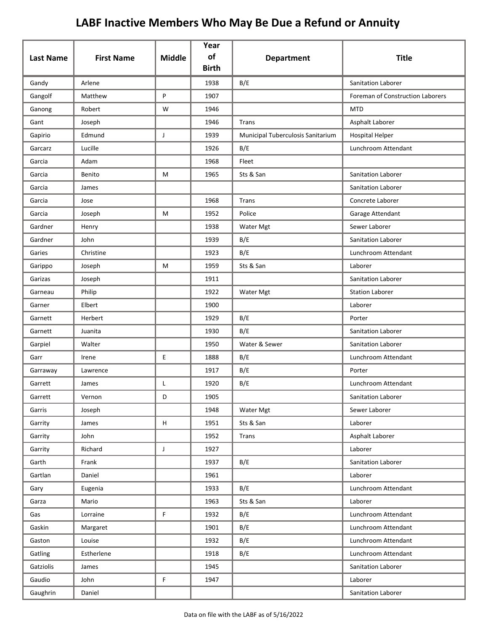| <b>Last Name</b> | <b>First Name</b> | <b>Middle</b>             | Year<br>of<br><b>Birth</b> | <b>Department</b>                 | <b>Title</b>                     |
|------------------|-------------------|---------------------------|----------------------------|-----------------------------------|----------------------------------|
| Gandy            | Arlene            |                           | 1938                       | B/E                               | <b>Sanitation Laborer</b>        |
| Gangolf          | Matthew           | P                         | 1907                       |                                   | Foreman of Construction Laborers |
| Ganong           | Robert            | W                         | 1946                       |                                   | <b>MTD</b>                       |
| Gant             | Joseph            |                           | 1946                       | <b>Trans</b>                      | Asphalt Laborer                  |
| Gapirio          | Edmund            | J                         | 1939                       | Municipal Tuberculosis Sanitarium | <b>Hospital Helper</b>           |
| Garcarz          | Lucille           |                           | 1926                       | B/E                               | Lunchroom Attendant              |
| Garcia           | Adam              |                           | 1968                       | Fleet                             |                                  |
| Garcia           | Benito            | M                         | 1965                       | Sts & San                         | Sanitation Laborer               |
| Garcia           | James             |                           |                            |                                   | Sanitation Laborer               |
| Garcia           | Jose              |                           | 1968                       | Trans                             | Concrete Laborer                 |
| Garcia           | Joseph            | M                         | 1952                       | Police                            | Garage Attendant                 |
| Gardner          | Henry             |                           | 1938                       | Water Mgt                         | Sewer Laborer                    |
| Gardner          | John              |                           | 1939                       | B/E                               | Sanitation Laborer               |
| Garies           | Christine         |                           | 1923                       | B/E                               | Lunchroom Attendant              |
| Garippo          | Joseph            | М                         | 1959                       | Sts & San                         | Laborer                          |
| Garizas          | Joseph            |                           | 1911                       |                                   | Sanitation Laborer               |
| Garneau          | Philip            |                           | 1922                       | Water Mgt                         | <b>Station Laborer</b>           |
| Garner           | Elbert            |                           | 1900                       |                                   | Laborer                          |
| Garnett          | Herbert           |                           | 1929                       | B/E                               | Porter                           |
| Garnett          | Juanita           |                           | 1930                       | B/E                               | Sanitation Laborer               |
| Garpiel          | Walter            |                           | 1950                       | Water & Sewer                     | Sanitation Laborer               |
| Garr             | Irene             | E                         | 1888                       | B/E                               | Lunchroom Attendant              |
| Garraway         | Lawrence          |                           | 1917                       | B/E                               | Porter                           |
| Garrett          | James             | Г                         | 1920                       | B/E                               | Lunchroom Attendant              |
| Garrett          | Vernon            | D                         | 1905                       |                                   | Sanitation Laborer               |
| Garris           | Joseph            |                           | 1948                       | Water Mgt                         | Sewer Laborer                    |
| Garrity          | James             | $\boldsymbol{\mathsf{H}}$ | 1951                       | Sts & San                         | Laborer                          |
| Garrity          | John              |                           | 1952                       | <b>Trans</b>                      | Asphalt Laborer                  |
| Garrity          | Richard           | J                         | 1927                       |                                   | Laborer                          |
| Garth            | Frank             |                           | 1937                       | B/E                               | Sanitation Laborer               |
| Gartlan          | Daniel            |                           | 1961                       |                                   | Laborer                          |
| Gary             | Eugenia           |                           | 1933                       | B/E                               | Lunchroom Attendant              |
| Garza            | Mario             |                           | 1963                       | Sts & San                         | Laborer                          |
| Gas              | Lorraine          | F.                        | 1932                       | B/E                               | Lunchroom Attendant              |
| Gaskin           | Margaret          |                           | 1901                       | B/E                               | Lunchroom Attendant              |
| Gaston           | Louise            |                           | 1932                       | B/E                               | Lunchroom Attendant              |
| Gatling          | Estherlene        |                           | 1918                       | B/E                               | Lunchroom Attendant              |
| Gatziolis        | James             |                           | 1945                       |                                   | Sanitation Laborer               |
| Gaudio           | John              | F.                        | 1947                       |                                   | Laborer                          |
| Gaughrin         | Daniel            |                           |                            |                                   | Sanitation Laborer               |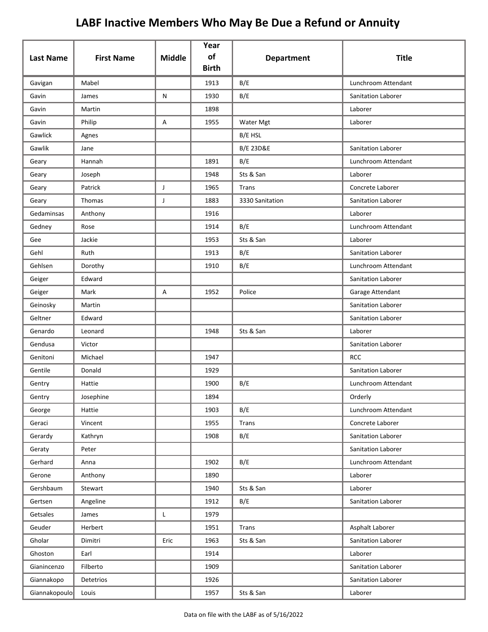|                  |                   |               | Year<br>of   |                      |                     |
|------------------|-------------------|---------------|--------------|----------------------|---------------------|
| <b>Last Name</b> | <b>First Name</b> | <b>Middle</b> | <b>Birth</b> | <b>Department</b>    | <b>Title</b>        |
| Gavigan          | Mabel             |               | 1913         | B/E                  | Lunchroom Attendant |
| Gavin            | James             | ${\sf N}$     | 1930         | B/E                  | Sanitation Laborer  |
| Gavin            | Martin            |               | 1898         |                      | Laborer             |
| Gavin            | Philip            | Α             | 1955         | Water Mgt            | Laborer             |
| Gawlick          | Agnes             |               |              | <b>B/E HSL</b>       |                     |
| Gawlik           | Jane              |               |              | <b>B/E 23D&amp;E</b> | Sanitation Laborer  |
| Geary            | Hannah            |               | 1891         | B/E                  | Lunchroom Attendant |
| Geary            | Joseph            |               | 1948         | Sts & San            | Laborer             |
| Geary            | Patrick           | J             | 1965         | Trans                | Concrete Laborer    |
| Geary            | Thomas            | J             | 1883         | 3330 Sanitation      | Sanitation Laborer  |
| Gedaminsas       | Anthony           |               | 1916         |                      | Laborer             |
| Gedney           | Rose              |               | 1914         | B/E                  | Lunchroom Attendant |
| Gee              | Jackie            |               | 1953         | Sts & San            | Laborer             |
| Gehl             | Ruth              |               | 1913         | B/E                  | Sanitation Laborer  |
| Gehlsen          | Dorothy           |               | 1910         | B/E                  | Lunchroom Attendant |
| Geiger           | Edward            |               |              |                      | Sanitation Laborer  |
| Geiger           | Mark              | Α             | 1952         | Police               | Garage Attendant    |
| Geinosky         | Martin            |               |              |                      | Sanitation Laborer  |
| Geltner          | Edward            |               |              |                      | Sanitation Laborer  |
| Genardo          | Leonard           |               | 1948         | Sts & San            | Laborer             |
| Gendusa          | Victor            |               |              |                      | Sanitation Laborer  |
| Genitoni         | Michael           |               | 1947         |                      | <b>RCC</b>          |
| Gentile          | Donald            |               | 1929         |                      | Sanitation Laborer  |
| Gentry           | Hattie            |               | 1900         | B/E                  | Lunchroom Attendant |
| Gentry           | Josephine         |               | 1894         |                      | Orderly             |
| George           | Hattie            |               | 1903         | B/E                  | Lunchroom Attendant |
| Geraci           | Vincent           |               | 1955         | <b>Trans</b>         | Concrete Laborer    |
| Gerardy          | Kathryn           |               | 1908         | B/E                  | Sanitation Laborer  |
| Geraty           | Peter             |               |              |                      | Sanitation Laborer  |
| Gerhard          | Anna              |               | 1902         | B/E                  | Lunchroom Attendant |
| Gerone           | Anthony           |               | 1890         |                      | Laborer             |
| Gershbaum        | Stewart           |               | 1940         | Sts & San            | Laborer             |
| Gertsen          | Angeline          |               | 1912         | B/E                  | Sanitation Laborer  |
| Getsales         | James             | L             | 1979         |                      |                     |
| Geuder           | Herbert           |               | 1951         | <b>Trans</b>         | Asphalt Laborer     |
| Gholar           | Dimitri           | Eric          | 1963         | Sts & San            | Sanitation Laborer  |
| Ghoston          | Earl              |               | 1914         |                      | Laborer             |
| Gianincenzo      | Filberto          |               | 1909         |                      | Sanitation Laborer  |
| Giannakopo       | Detetrios         |               | 1926         |                      | Sanitation Laborer  |
| Giannakopoulo    | Louis             |               | 1957         | Sts & San            | Laborer             |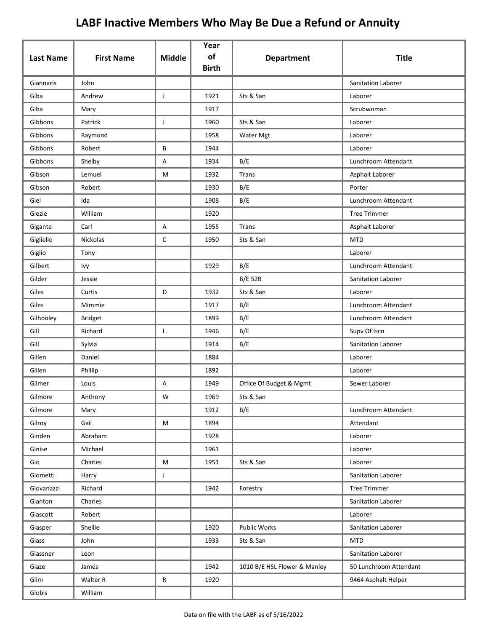|                  |                   |               | Year<br>of   |                              |                           |
|------------------|-------------------|---------------|--------------|------------------------------|---------------------------|
| <b>Last Name</b> | <b>First Name</b> | <b>Middle</b> | <b>Birth</b> | <b>Department</b>            | <b>Title</b>              |
| Giannaris        | John              |               |              |                              | <b>Sanitation Laborer</b> |
| Giba             | Andrew            | J             | 1921         | Sts & San                    | Laborer                   |
| Giba             | Mary              |               | 1917         |                              | Scrubwoman                |
| Gibbons          | Patrick           | J             | 1960         | Sts & San                    | Laborer                   |
| Gibbons          | Raymond           |               | 1958         | Water Mgt                    | Laborer                   |
| Gibbons          | Robert            | B             | 1944         |                              | Laborer                   |
| Gibbons          | Shelby            | Α             | 1934         | B/E                          | Lunchroom Attendant       |
| Gibson           | Lemuel            | M             | 1932         | Trans                        | Asphalt Laborer           |
| Gibson           | Robert            |               | 1930         | B/E                          | Porter                    |
| Giel             | Ida               |               | 1908         | B/E                          | Lunchroom Attendant       |
| Giezie           | William           |               | 1920         |                              | <b>Tree Trimmer</b>       |
| Gigante          | Carl              | А             | 1955         | Trans                        | Asphalt Laborer           |
| Gigliello        | Nickolas          | C             | 1950         | Sts & San                    | <b>MTD</b>                |
| Giglio           | Tony              |               |              |                              | Laborer                   |
| Gilbert          | Ivy               |               | 1929         | B/E                          | Lunchroom Attendant       |
| Gilder           | Jessie            |               |              | <b>B/E 52B</b>               | Sanitation Laborer        |
| Giles            | Curtis            | D             | 1932         | Sts & San                    | Laborer                   |
| Giles            | Mimmie            |               | 1917         | B/E                          | Lunchroom Attendant       |
| Gilhooley        | <b>Bridget</b>    |               | 1899         | B/E                          | Lunchroom Attendant       |
| Gill             | Richard           | L             | 1946         | B/E                          | Supv Of Iscn              |
| Gill             | Sylvia            |               | 1914         | B/E                          | Sanitation Laborer        |
| Gillen           | Daniel            |               | 1884         |                              | Laborer                   |
| Gillen           | Phillip           |               | 1892         |                              | Laborer                   |
| Gilmer           | Louis             | А             | 1949         | Office Of Budget & Mgmt      | Sewer Laborer             |
| Gilmore          | Anthony           | W             | 1969         | Sts & San                    |                           |
| Gilmore          | Mary              |               | 1912         | B/E                          | Lunchroom Attendant       |
| Gilroy           | Gail              | ${\sf M}$     | 1894         |                              | Attendant                 |
| Ginden           | Abraham           |               | 1928         |                              | Laborer                   |
| Ginise           | Michael           |               | 1961         |                              | Laborer                   |
| Gio              | Charles           | M             | 1951         | Sts & San                    | Laborer                   |
| Giometti         | Harry             | J             |              |                              | Sanitation Laborer        |
| Giovanazzi       | Richard           |               | 1942         | Forestry                     | <b>Tree Trimmer</b>       |
| Glanton          | Charles           |               |              |                              | Sanitation Laborer        |
| Glascott         | Robert            |               |              |                              | Laborer                   |
| Glasper          | Shellie           |               | 1920         | Public Works                 | Sanitation Laborer        |
| Glass            | John              |               | 1933         | Sts & San                    | <b>MTD</b>                |
| Glassner         | Leon              |               |              |                              | Sanitation Laborer        |
| Glaze            | James             |               | 1942         | 1010 B/E HSL Flower & Manley | 50 Lunchroom Attendant    |
| Glim             | Walter R          | $\mathsf{R}$  | 1920         |                              | 9464 Asphalt Helper       |
| Globis           | William           |               |              |                              |                           |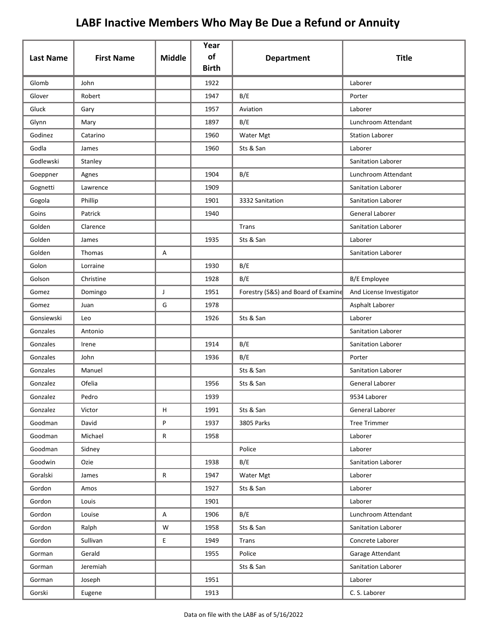|                  |                   |               | Year<br>of   |                                     |                          |
|------------------|-------------------|---------------|--------------|-------------------------------------|--------------------------|
| <b>Last Name</b> | <b>First Name</b> | <b>Middle</b> | <b>Birth</b> | <b>Department</b>                   | <b>Title</b>             |
| Glomb            | John              |               | 1922         |                                     | Laborer                  |
| Glover           | Robert            |               | 1947         | B/E                                 | Porter                   |
| Gluck            | Gary              |               | 1957         | Aviation                            | Laborer                  |
| Glynn            | Mary              |               | 1897         | B/E                                 | Lunchroom Attendant      |
| Godinez          | Catarino          |               | 1960         | Water Mgt                           | <b>Station Laborer</b>   |
| Godla            | James             |               | 1960         | Sts & San                           | Laborer                  |
| Godlewski        | Stanley           |               |              |                                     | Sanitation Laborer       |
| Goeppner         | Agnes             |               | 1904         | B/E                                 | Lunchroom Attendant      |
| Gognetti         | Lawrence          |               | 1909         |                                     | Sanitation Laborer       |
| Gogola           | Phillip           |               | 1901         | 3332 Sanitation                     | Sanitation Laborer       |
| Goins            | Patrick           |               | 1940         |                                     | <b>General Laborer</b>   |
| Golden           | Clarence          |               |              | Trans                               | Sanitation Laborer       |
| Golden           | James             |               | 1935         | Sts & San                           | Laborer                  |
| Golden           | Thomas            | Α             |              |                                     | Sanitation Laborer       |
| Golon            | Lorraine          |               | 1930         | B/E                                 |                          |
| Golson           | Christine         |               | 1928         | B/E                                 | <b>B/E</b> Employee      |
| Gomez            | Domingo           | J             | 1951         | Forestry (S&S) and Board of Examine | And License Investigator |
| Gomez            | Juan              | G             | 1978         |                                     | Asphalt Laborer          |
| Gonsiewski       | Leo               |               | 1926         | Sts & San                           | Laborer                  |
| Gonzales         | Antonio           |               |              |                                     | Sanitation Laborer       |
| Gonzales         | Irene             |               | 1914         | B/E                                 | Sanitation Laborer       |
| Gonzales         | John              |               | 1936         | B/E                                 | Porter                   |
| Gonzales         | Manuel            |               |              | Sts & San                           | Sanitation Laborer       |
| Gonzalez         | Ofelia            |               | 1956         | Sts & San                           | General Laborer          |
| Gonzalez         | Pedro             |               | 1939         |                                     | 9534 Laborer             |
| Gonzalez         | Victor            | н             | 1991         | Sts & San                           | General Laborer          |
| Goodman          | David             | P             | 1937         | 3805 Parks                          | <b>Tree Trimmer</b>      |
| Goodman          | Michael           | ${\sf R}$     | 1958         |                                     | Laborer                  |
| Goodman          | Sidney            |               |              | Police                              | Laborer                  |
| Goodwin          | Ozie              |               | 1938         | B/E                                 | Sanitation Laborer       |
| Goralski         | James             | ${\sf R}$     | 1947         | Water Mgt                           | Laborer                  |
| Gordon           | Amos              |               | 1927         | Sts & San                           | Laborer                  |
| Gordon           | Louis             |               | 1901         |                                     | Laborer                  |
| Gordon           | Louise            | Α             | 1906         | B/E                                 | Lunchroom Attendant      |
| Gordon           | Ralph             | W             | 1958         | Sts & San                           | Sanitation Laborer       |
| Gordon           | Sullivan          | E             | 1949         | Trans                               | Concrete Laborer         |
| Gorman           | Gerald            |               | 1955         | Police                              | Garage Attendant         |
| Gorman           | Jeremiah          |               |              | Sts & San                           | Sanitation Laborer       |
| Gorman           | Joseph            |               | 1951         |                                     | Laborer                  |
| Gorski           | Eugene            |               | 1913         |                                     | C. S. Laborer            |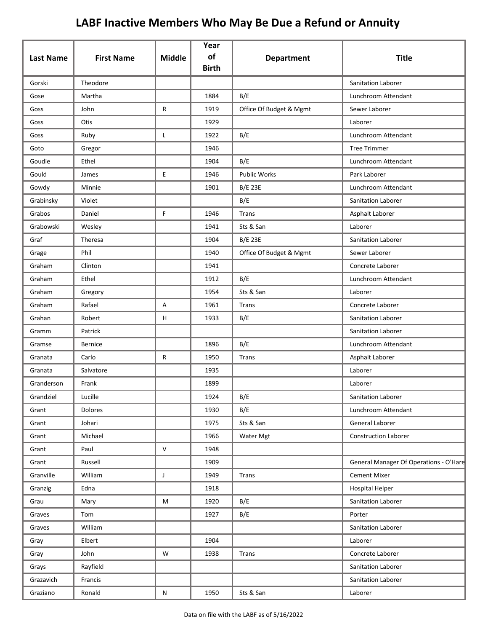| <b>Last Name</b> | <b>First Name</b> | <b>Middle</b> | Year<br>of<br><b>Birth</b> | <b>Department</b>       | <b>Title</b>                           |
|------------------|-------------------|---------------|----------------------------|-------------------------|----------------------------------------|
| Gorski           | Theodore          |               |                            |                         | <b>Sanitation Laborer</b>              |
| Gose             | Martha            |               | 1884                       | B/E                     | Lunchroom Attendant                    |
| Goss             | John              | R             | 1919                       | Office Of Budget & Mgmt | Sewer Laborer                          |
| Goss             | Otis              |               | 1929                       |                         | Laborer                                |
| Goss             | Ruby              | Г             | 1922                       | B/E                     | Lunchroom Attendant                    |
| Goto             | Gregor            |               | 1946                       |                         | <b>Tree Trimmer</b>                    |
| Goudie           | Ethel             |               | 1904                       | B/E                     | Lunchroom Attendant                    |
| Gould            | James             | E             | 1946                       | <b>Public Works</b>     | Park Laborer                           |
| Gowdy            | Minnie            |               | 1901                       | <b>B/E 23E</b>          | Lunchroom Attendant                    |
| Grabinsky        | Violet            |               |                            | B/E                     | Sanitation Laborer                     |
| Grabos           | Daniel            | F             | 1946                       | Trans                   | Asphalt Laborer                        |
| Grabowski        | Wesley            |               | 1941                       | Sts & San               | Laborer                                |
| Graf             | Theresa           |               | 1904                       | <b>B/E 23E</b>          | <b>Sanitation Laborer</b>              |
| Grage            | Phil              |               | 1940                       | Office Of Budget & Mgmt | Sewer Laborer                          |
| Graham           | Clinton           |               | 1941                       |                         | Concrete Laborer                       |
| Graham           | Ethel             |               | 1912                       | B/E                     | Lunchroom Attendant                    |
| Graham           | Gregory           |               | 1954                       | Sts & San               | Laborer                                |
| Graham           | Rafael            | Α             | 1961                       | Trans                   | Concrete Laborer                       |
| Grahan           | Robert            | н             | 1933                       | B/E                     | Sanitation Laborer                     |
| Gramm            | Patrick           |               |                            |                         | Sanitation Laborer                     |
| Gramse           | Bernice           |               | 1896                       | B/E                     | Lunchroom Attendant                    |
| Granata          | Carlo             | R             | 1950                       | Trans                   | Asphalt Laborer                        |
| Granata          | Salvatore         |               | 1935                       |                         | Laborer                                |
| Granderson       | Frank             |               | 1899                       |                         | Laborer                                |
| Grandziel        | Lucille           |               | 1924                       | B/E                     | Sanitation Laborer                     |
| Grant            | Dolores           |               | 1930                       | B/E                     | Lunchroom Attendant                    |
| Grant            | Johari            |               | 1975                       | Sts & San               | General Laborer                        |
| Grant            | Michael           |               | 1966                       | Water Mgt               | <b>Construction Laborer</b>            |
| Grant            | Paul              | V             | 1948                       |                         |                                        |
| Grant            | Russell           |               | 1909                       |                         | General Manager Of Operations - O'Hare |
| Granville        | William           | $\mathsf J$   | 1949                       | Trans                   | <b>Cement Mixer</b>                    |
| Granzig          | Edna              |               | 1918                       |                         | <b>Hospital Helper</b>                 |
| Grau             | Mary              | M             | 1920                       | B/E                     | Sanitation Laborer                     |
| Graves           | Tom               |               | 1927                       | B/E                     | Porter                                 |
| Graves           | William           |               |                            |                         | Sanitation Laborer                     |
| Gray             | Elbert            |               | 1904                       |                         | Laborer                                |
| Gray             | John              | W             | 1938                       | Trans                   | Concrete Laborer                       |
| Grays            | Rayfield          |               |                            |                         | Sanitation Laborer                     |
| Grazavich        | Francis           |               |                            |                         | Sanitation Laborer                     |
| Graziano         | Ronald            | N             | 1950                       | Sts & San               | Laborer                                |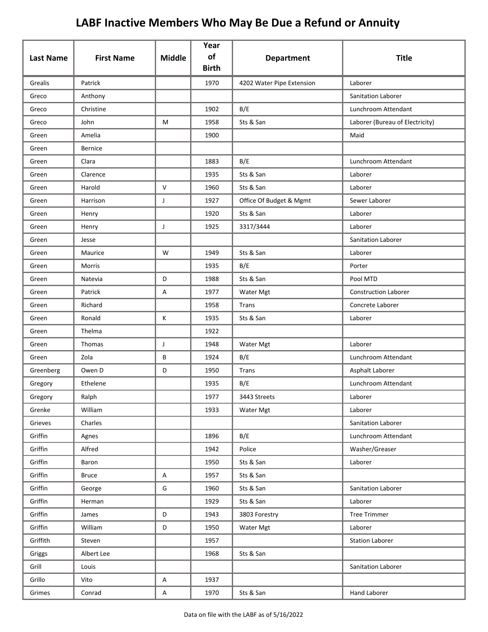| <b>Last Name</b> | <b>First Name</b> | <b>Middle</b> | Year<br>of<br><b>Birth</b> | <b>Department</b>         | <b>Title</b>                    |
|------------------|-------------------|---------------|----------------------------|---------------------------|---------------------------------|
| Grealis          | Patrick           |               | 1970                       | 4202 Water Pipe Extension | Laborer                         |
| Greco            | Anthony           |               |                            |                           | <b>Sanitation Laborer</b>       |
| Greco            | Christine         |               | 1902                       | B/E                       | Lunchroom Attendant             |
| Greco            | John              | М             | 1958                       | Sts & San                 | Laborer (Bureau of Electricity) |
| Green            | Amelia            |               | 1900                       |                           | Maid                            |
| Green            | <b>Bernice</b>    |               |                            |                           |                                 |
| Green            | Clara             |               | 1883                       | B/E                       | Lunchroom Attendant             |
| Green            | Clarence          |               | 1935                       | Sts & San                 | Laborer                         |
| Green            | Harold            | V             | 1960                       | Sts & San                 | Laborer                         |
| Green            | Harrison          | J             | 1927                       | Office Of Budget & Mgmt   | Sewer Laborer                   |
| Green            | Henry             |               | 1920                       | Sts & San                 | Laborer                         |
| Green            | Henry             | J             | 1925                       | 3317/3444                 | Laborer                         |
| Green            | Jesse             |               |                            |                           | Sanitation Laborer              |
| Green            | Maurice           | W             | 1949                       | Sts & San                 | Laborer                         |
| Green            | Morris            |               | 1935                       | B/E                       | Porter                          |
| Green            | Natevia           | D             | 1988                       | Sts & San                 | Pool MTD                        |
| Green            | Patrick           | Α             | 1977                       | Water Mgt                 | <b>Construction Laborer</b>     |
| Green            | Richard           |               | 1958                       | Trans                     | Concrete Laborer                |
| Green            | Ronald            | Κ             | 1935                       | Sts & San                 | Laborer                         |
| Green            | Thelma            |               | 1922                       |                           |                                 |
| Green            | Thomas            | J             | 1948                       | Water Mgt                 | Laborer                         |
| Green            | Zola              | В             | 1924                       | B/E                       | Lunchroom Attendant             |
| Greenberg        | Owen D            | D             | 1950                       | Trans                     | Asphalt Laborer                 |
| Gregory          | Ethelene          |               | 1935                       | B/E                       | Lunchroom Attendant             |
| Gregory          | Ralph             |               | 1977                       | 3443 Streets              | Laborer                         |
| Grenke           | William           |               | 1933                       | Water Mgt                 | Laborer                         |
| Grieves          | Charles           |               |                            |                           | Sanitation Laborer              |
| Griffin          | Agnes             |               | 1896                       | B/E                       | Lunchroom Attendant             |
| Griffin          | Alfred            |               | 1942                       | Police                    | Washer/Greaser                  |
| Griffin          | Baron             |               | 1950                       | Sts & San                 | Laborer                         |
| Griffin          | <b>Bruce</b>      | Α             | 1957                       | Sts & San                 |                                 |
| Griffin          | George            | G             | 1960                       | Sts & San                 | Sanitation Laborer              |
| Griffin          | Herman            |               | 1929                       | Sts & San                 | Laborer                         |
| Griffin          | James             | D             | 1943                       | 3803 Forestry             | <b>Tree Trimmer</b>             |
| Griffin          | William           | D             | 1950                       | Water Mgt                 | Laborer                         |
| Griffith         | Steven            |               | 1957                       |                           | <b>Station Laborer</b>          |
| Griggs           | Albert Lee        |               | 1968                       | Sts & San                 |                                 |
| Grill            | Louis             |               |                            |                           | Sanitation Laborer              |
| Grillo           | Vito              | Α             | 1937                       |                           |                                 |
| Grimes           | Conrad            | A             | 1970                       | Sts & San                 | Hand Laborer                    |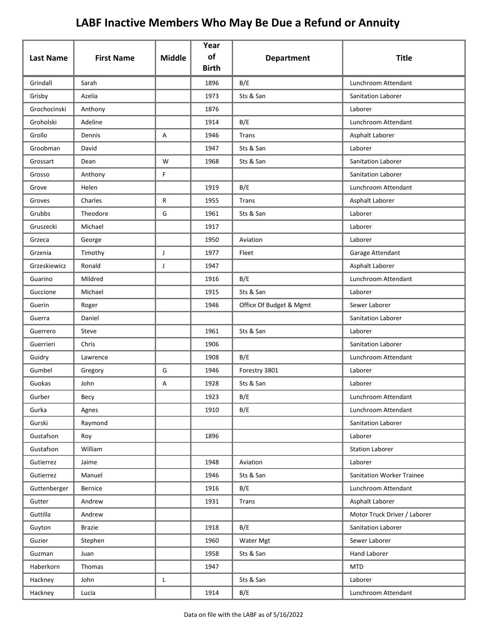| <b>Last Name</b> | <b>First Name</b> | <b>Middle</b> | Year<br>of   | <b>Department</b>       | <b>Title</b>                     |
|------------------|-------------------|---------------|--------------|-------------------------|----------------------------------|
|                  |                   |               | <b>Birth</b> |                         |                                  |
| Grindall         | Sarah             |               | 1896         | B/E                     | Lunchroom Attendant              |
| Grisby           | Azelia            |               | 1973         | Sts & San               | Sanitation Laborer               |
| Grochocinski     | Anthony           |               | 1876         |                         | Laborer                          |
| Groholski        | Adeline           |               | 1914         | B/E                     | Lunchroom Attendant              |
| Grollo           | Dennis            | Α             | 1946         | Trans                   | Asphalt Laborer                  |
| Groobman         | David             |               | 1947         | Sts & San               | Laborer                          |
| Grossart         | Dean              | W             | 1968         | Sts & San               | Sanitation Laborer               |
| Grosso           | Anthony           | F             |              |                         | Sanitation Laborer               |
| Grove            | Helen             |               | 1919         | B/E                     | Lunchroom Attendant              |
| Groves           | Charles           | R             | 1955         | Trans                   | Asphalt Laborer                  |
| Grubbs           | Theodore          | G             | 1961         | Sts & San               | Laborer                          |
| Gruszecki        | Michael           |               | 1917         |                         | Laborer                          |
| Grzeca           | George            |               | 1950         | Aviation                | Laborer                          |
| Grzenia          | Timothy           | J             | 1977         | Fleet                   | Garage Attendant                 |
| Grzeskiewicz     | Ronald            | J             | 1947         |                         | Asphalt Laborer                  |
| Guarino          | Mildred           |               | 1916         | B/E                     | Lunchroom Attendant              |
| Guccione         | Michael           |               | 1915         | Sts & San               | Laborer                          |
| Guerin           | Roger             |               | 1946         | Office Of Budget & Mgmt | Sewer Laborer                    |
| Guerra           | Daniel            |               |              |                         | Sanitation Laborer               |
| Guerrero         | Steve             |               | 1961         | Sts & San               | Laborer                          |
| Guerrieri        | Chris             |               | 1906         |                         | Sanitation Laborer               |
| Guidry           | Lawrence          |               | 1908         | B/E                     | Lunchroom Attendant              |
| Gumbel           | Gregory           | G             | 1946         | Forestry 3801           | Laborer                          |
| Guokas           | John              | Α             | 1928         | Sts & San               | Laborer                          |
| Gurber           | Becy              |               | 1923         | B/E                     | Lunchroom Attendant              |
| Gurka            | Agnes             |               | 1910         | B/E                     | Lunchroom Attendant              |
| Gurski           | Raymond           |               |              |                         | Sanitation Laborer               |
| Gustafson        | Roy               |               | 1896         |                         | Laborer                          |
| Gustafson        | William           |               |              |                         | <b>Station Laborer</b>           |
| Gutierrez        | Jaime             |               | 1948         | Aviation                | Laborer                          |
| Gutierrez        | Manuel            |               | 1946         | Sts & San               | <b>Sanitation Worker Trainee</b> |
| Guttenberger     | Bernice           |               | 1916         | B/E                     | Lunchroom Attendant              |
| Gutter           | Andrew            |               | 1931         | <b>Trans</b>            | Asphalt Laborer                  |
| Guttilla         | Andrew            |               |              |                         | Motor Truck Driver / Laborer     |
| Guyton           | <b>Brazie</b>     |               | 1918         | B/E                     | Sanitation Laborer               |
| Guzier           | Stephen           |               | 1960         | Water Mgt               | Sewer Laborer                    |
| Guzman           | Juan              |               | 1958         | Sts & San               | Hand Laborer                     |
| Haberkorn        | Thomas            |               | 1947         |                         | <b>MTD</b>                       |
| Hackney          | John              | L             |              | Sts & San               | Laborer                          |
| Hackney          | Lucia             |               | 1914         | B/E                     | Lunchroom Attendant              |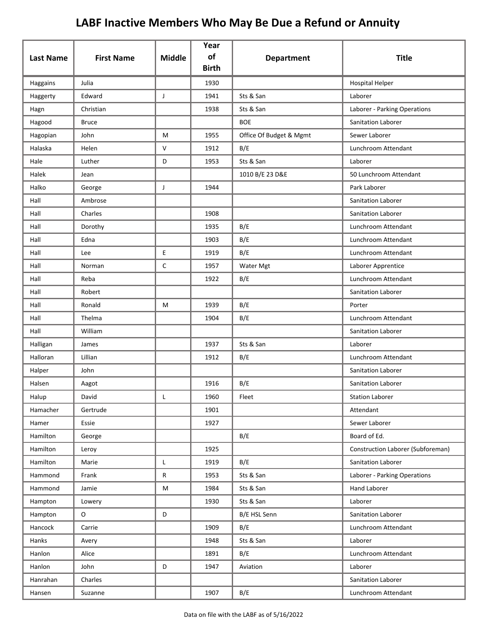| <b>Last Name</b> | <b>First Name</b> | <b>Middle</b> | Year<br>of   | <b>Department</b>       | <b>Title</b>                      |
|------------------|-------------------|---------------|--------------|-------------------------|-----------------------------------|
|                  |                   |               | <b>Birth</b> |                         |                                   |
| Haggains         | Julia             |               | 1930         |                         | <b>Hospital Helper</b>            |
| Haggerty         | Edward            | J             | 1941         | Sts & San               | Laborer                           |
| Hagn             | Christian         |               | 1938         | Sts & San               | Laborer - Parking Operations      |
| Hagood           | <b>Bruce</b>      |               |              | <b>BOE</b>              | Sanitation Laborer                |
| Hagopian         | John              | M             | 1955         | Office Of Budget & Mgmt | Sewer Laborer                     |
| Halaska          | Helen             | V             | 1912         | B/E                     | Lunchroom Attendant               |
| Hale             | Luther            | D             | 1953         | Sts & San               | Laborer                           |
| Halek            | Jean              |               |              | 1010 B/E 23 D&E         | 50 Lunchroom Attendant            |
| Halko            | George            | J             | 1944         |                         | Park Laborer                      |
| Hall             | Ambrose           |               |              |                         | Sanitation Laborer                |
| Hall             | Charles           |               | 1908         |                         | Sanitation Laborer                |
| Hall             | Dorothy           |               | 1935         | B/E                     | Lunchroom Attendant               |
| Hall             | Edna              |               | 1903         | B/E                     | Lunchroom Attendant               |
| Hall             | Lee               | E             | 1919         | B/E                     | Lunchroom Attendant               |
| Hall             | Norman            | $\mathsf{C}$  | 1957         | Water Mgt               | Laborer Apprentice                |
| Hall             | Reba              |               | 1922         | B/E                     | Lunchroom Attendant               |
| Hall             | Robert            |               |              |                         | Sanitation Laborer                |
| Hall             | Ronald            | М             | 1939         | B/E                     | Porter                            |
| Hall             | Thelma            |               | 1904         | B/E                     | Lunchroom Attendant               |
| Hall             | William           |               |              |                         | Sanitation Laborer                |
| Halligan         | James             |               | 1937         | Sts & San               | Laborer                           |
| Halloran         | Lillian           |               | 1912         | B/E                     | Lunchroom Attendant               |
| Halper           | John              |               |              |                         | Sanitation Laborer                |
| Halsen           | Aagot             |               | 1916         | B/E                     | Sanitation Laborer                |
| Halup            | David             |               | 1960         | Fleet                   | <b>Station Laborer</b>            |
| Hamacher         | Gertrude          |               | 1901         |                         | Attendant                         |
| Hamer            | Essie             |               | 1927         |                         | Sewer Laborer                     |
| Hamilton         | George            |               |              | B/E                     | Board of Ed.                      |
| Hamilton         | Leroy             |               | 1925         |                         | Construction Laborer (Subforeman) |
| Hamilton         | Marie             | L             | 1919         | B/E                     | Sanitation Laborer                |
| Hammond          | Frank             | R             | 1953         | Sts & San               | Laborer - Parking Operations      |
| Hammond          | Jamie             | M             | 1984         | Sts & San               | Hand Laborer                      |
| Hampton          | Lowery            |               | 1930         | Sts & San               | Laborer                           |
| Hampton          | O                 | $\mathsf D$   |              | B/E HSL Senn            | Sanitation Laborer                |
| Hancock          | Carrie            |               | 1909         | B/E                     | Lunchroom Attendant               |
| Hanks            | Avery             |               | 1948         | Sts & San               | Laborer                           |
| Hanlon           | Alice             |               | 1891         | B/E                     | Lunchroom Attendant               |
| Hanlon           | John              | D             | 1947         | Aviation                | Laborer                           |
| Hanrahan         | Charles           |               |              |                         | Sanitation Laborer                |
| Hansen           | Suzanne           |               | 1907         | B/E                     | Lunchroom Attendant               |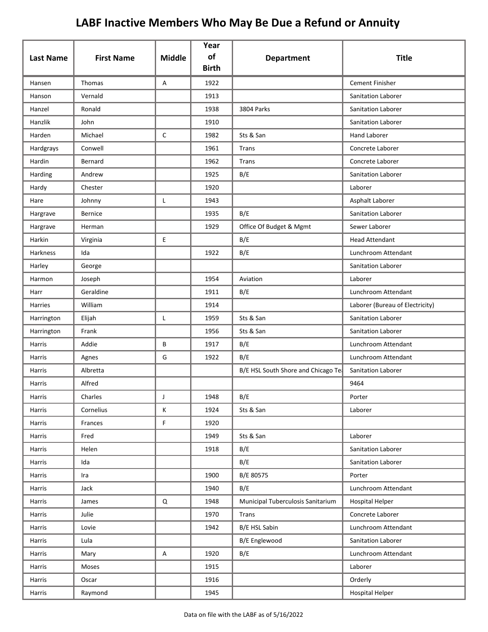| <b>Last Name</b> | <b>First Name</b> | <b>Middle</b> | Year<br>of<br><b>Birth</b> | <b>Department</b>                   | <b>Title</b>                    |
|------------------|-------------------|---------------|----------------------------|-------------------------------------|---------------------------------|
| Hansen           | Thomas            | A             | 1922                       |                                     | <b>Cement Finisher</b>          |
| Hanson           | Vernald           |               | 1913                       |                                     | Sanitation Laborer              |
| Hanzel           | Ronald            |               | 1938                       | 3804 Parks                          | Sanitation Laborer              |
| Hanzlik          | John              |               | 1910                       |                                     | Sanitation Laborer              |
| Harden           | Michael           | $\mathsf C$   | 1982                       | Sts & San                           | <b>Hand Laborer</b>             |
| Hardgrays        | Conwell           |               | 1961                       | Trans                               | Concrete Laborer                |
| Hardin           | Bernard           |               | 1962                       | Trans                               | Concrete Laborer                |
| Harding          | Andrew            |               | 1925                       | B/E                                 | Sanitation Laborer              |
| Hardy            | Chester           |               | 1920                       |                                     | Laborer                         |
| Hare             | Johnny            | L             | 1943                       |                                     | Asphalt Laborer                 |
| Hargrave         | <b>Bernice</b>    |               | 1935                       | B/E                                 | Sanitation Laborer              |
| Hargrave         | Herman            |               | 1929                       | Office Of Budget & Mgmt             | Sewer Laborer                   |
| Harkin           | Virginia          | Е             |                            | B/E                                 | <b>Head Attendant</b>           |
| Harkness         | Ida               |               | 1922                       | B/E                                 | Lunchroom Attendant             |
| Harley           | George            |               |                            |                                     | Sanitation Laborer              |
| Harmon           | Joseph            |               | 1954                       | Aviation                            | Laborer                         |
| Harr             | Geraldine         |               | 1911                       | B/E                                 | Lunchroom Attendant             |
| Harries          | William           |               | 1914                       |                                     | Laborer (Bureau of Electricity) |
| Harrington       | Elijah            | L             | 1959                       | Sts & San                           | Sanitation Laborer              |
| Harrington       | Frank             |               | 1956                       | Sts & San                           | Sanitation Laborer              |
| Harris           | Addie             | B             | 1917                       | B/E                                 | Lunchroom Attendant             |
| Harris           | Agnes             | G             | 1922                       | B/E                                 | Lunchroom Attendant             |
| Harris           | Albretta          |               |                            | B/E HSL South Shore and Chicago Tea | Sanitation Laborer              |
| Harris           | Alfred            |               |                            |                                     | 9464                            |
| Harris           | Charles           |               | 1948                       | B/E                                 | Porter                          |
| Harris           | Cornelius         | K             | 1924                       | Sts & San                           | Laborer                         |
| Harris           | Frances           | F             | 1920                       |                                     |                                 |
| Harris           | Fred              |               | 1949                       | Sts & San                           | Laborer                         |
| Harris           | Helen             |               | 1918                       | B/E                                 | Sanitation Laborer              |
| Harris           | Ida               |               |                            | B/E                                 | Sanitation Laborer              |
| Harris           | Ira               |               | 1900                       | B/E 80575                           | Porter                          |
| Harris           | Jack              |               | 1940                       | B/E                                 | Lunchroom Attendant             |
| Harris           | James             | Q             | 1948                       | Municipal Tuberculosis Sanitarium   | <b>Hospital Helper</b>          |
| Harris           | Julie             |               | 1970                       | Trans                               | Concrete Laborer                |
| Harris           | Lovie             |               | 1942                       | B/E HSL Sabin                       | Lunchroom Attendant             |
| Harris           | Lula              |               |                            | B/E Englewood                       | Sanitation Laborer              |
| Harris           | Mary              | A             | 1920                       | B/E                                 | Lunchroom Attendant             |
| Harris           | Moses             |               | 1915                       |                                     | Laborer                         |
| Harris           | Oscar             |               | 1916                       |                                     | Orderly                         |
| Harris           | Raymond           |               | 1945                       |                                     | <b>Hospital Helper</b>          |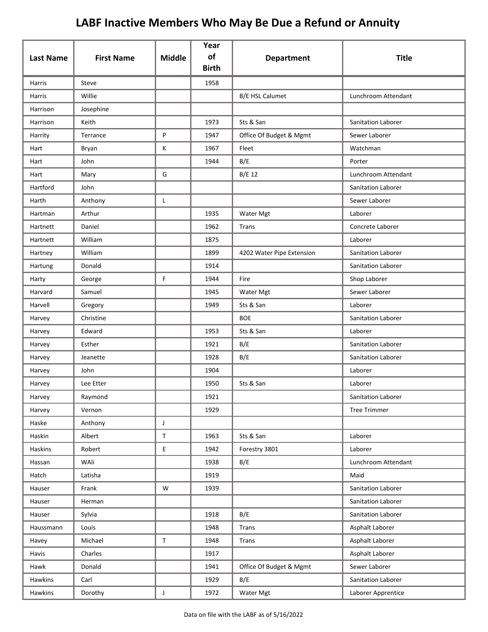| <b>Last Name</b> | <b>First Name</b> | <b>Middle</b> | Year<br>of   |                           | <b>Title</b>              |
|------------------|-------------------|---------------|--------------|---------------------------|---------------------------|
|                  |                   |               | <b>Birth</b> | <b>Department</b>         |                           |
| <b>Harris</b>    | Steve             |               | 1958         |                           |                           |
| Harris           | Willie            |               |              | <b>B/E HSL Calumet</b>    | Lunchroom Attendant       |
| Harrison         | Josephine         |               |              |                           |                           |
| Harrison         | Keith             |               | 1973         | Sts & San                 | Sanitation Laborer        |
| Harrity          | Terrance          | P             | 1947         | Office Of Budget & Mgmt   | Sewer Laborer             |
| Hart             | Bryan             | К             | 1967         | Fleet                     | Watchman                  |
| Hart             | John              |               | 1944         | B/E                       | Porter                    |
| Hart             | Mary              | G             |              | B/E 12                    | Lunchroom Attendant       |
| Hartford         | John              |               |              |                           | Sanitation Laborer        |
| Harth            | Anthony           | L             |              |                           | Sewer Laborer             |
| Hartman          | Arthur            |               | 1935         | Water Mgt                 | Laborer                   |
| Hartnett         | Daniel            |               | 1962         | Trans                     | Concrete Laborer          |
| Hartnett         | William           |               | 1875         |                           | Laborer                   |
| Hartney          | William           |               | 1899         | 4202 Water Pipe Extension | <b>Sanitation Laborer</b> |
| Hartung          | Donald            |               | 1914         |                           | Sanitation Laborer        |
| Harty            | George            | F             | 1944         | Fire                      | Shop Laborer              |
| Harvard          | Samuel            |               | 1945         | Water Mgt                 | Sewer Laborer             |
| Harvell          | Gregory           |               | 1949         | Sts & San                 | Laborer                   |
| Harvey           | Christine         |               |              | <b>BOE</b>                | Sanitation Laborer        |
| Harvey           | Edward            |               | 1953         | Sts & San                 | Laborer                   |
| Harvey           | Esther            |               | 1921         | B/E                       | Sanitation Laborer        |
| Harvey           | Jeanette          |               | 1928         | B/E                       | Sanitation Laborer        |
| Harvey           | John              |               | 1904         |                           | Laborer                   |
| Harvey           | Lee Etter         |               | 1950         | Sts & San                 | Laborer                   |
| Harvey           | Raymond           |               | 1921         |                           | Sanitation Laborer        |
| Harvey           | Vernon            |               | 1929         |                           | <b>Tree Trimmer</b>       |
| Haske            | Anthony           | $\mathsf J$   |              |                           |                           |
| Haskin           | Albert            | $\mathsf T$   | 1963         | Sts & San                 | Laborer                   |
| Haskins          | Robert            | $\mathsf E$   | 1942         | Forestry 3801             | Laborer                   |
| Hassan           | WAli              |               | 1938         | B/E                       | Lunchroom Attendant       |
| Hatch            | Latisha           |               | 1919         |                           | Maid                      |
| Hauser           | Frank             | W             | 1939         |                           | Sanitation Laborer        |
| Hauser           | Herman            |               |              |                           | Sanitation Laborer        |
| Hauser           | Sylvia            |               | 1918         | B/E                       | Sanitation Laborer        |
| Haussmann        | Louis             |               | 1948         | <b>Trans</b>              | Asphalt Laborer           |
| Havey            | Michael           | $\mathsf T$   | 1948         | <b>Trans</b>              | Asphalt Laborer           |
| Havis            | Charles           |               | 1917         |                           | Asphalt Laborer           |
| Hawk             | Donald            |               | 1941         | Office Of Budget & Mgmt   | Sewer Laborer             |
| Hawkins          | Carl              |               | 1929         | B/E                       | Sanitation Laborer        |
| Hawkins          | Dorothy           | $\mathsf{J}$  | 1972         | Water Mgt                 | Laborer Apprentice        |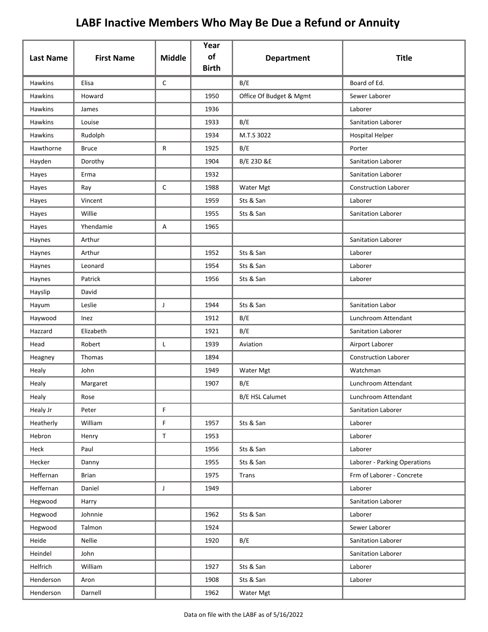|                  |                   |               | Year<br>of   |                         |                              |
|------------------|-------------------|---------------|--------------|-------------------------|------------------------------|
| <b>Last Name</b> | <b>First Name</b> | <b>Middle</b> | <b>Birth</b> | <b>Department</b>       | <b>Title</b>                 |
| Hawkins          | Elisa             | $\mathsf{C}$  |              | B/E                     | Board of Ed.                 |
| <b>Hawkins</b>   | Howard            |               | 1950         | Office Of Budget & Mgmt | Sewer Laborer                |
| <b>Hawkins</b>   | James             |               | 1936         |                         | Laborer                      |
| <b>Hawkins</b>   | Louise            |               | 1933         | B/E                     | Sanitation Laborer           |
| <b>Hawkins</b>   | Rudolph           |               | 1934         | M.T.S 3022              | <b>Hospital Helper</b>       |
| Hawthorne        | <b>Bruce</b>      | R             | 1925         | B/E                     | Porter                       |
| Hayden           | Dorothy           |               | 1904         | B/E 23D &E              | Sanitation Laborer           |
| Hayes            | Erma              |               | 1932         |                         | Sanitation Laborer           |
| Hayes            | Ray               | C             | 1988         | Water Mgt               | <b>Construction Laborer</b>  |
| Hayes            | Vincent           |               | 1959         | Sts & San               | Laborer                      |
| Hayes            | Willie            |               | 1955         | Sts & San               | Sanitation Laborer           |
| Hayes            | Yhendamie         | А             | 1965         |                         |                              |
| Haynes           | Arthur            |               |              |                         | <b>Sanitation Laborer</b>    |
| Haynes           | Arthur            |               | 1952         | Sts & San               | Laborer                      |
| Haynes           | Leonard           |               | 1954         | Sts & San               | Laborer                      |
| Haynes           | Patrick           |               | 1956         | Sts & San               | Laborer                      |
| Hayslip          | David             |               |              |                         |                              |
| Hayum            | Leslie            | J             | 1944         | Sts & San               | Sanitation Labor             |
| Haywood          | Inez              |               | 1912         | B/E                     | Lunchroom Attendant          |
| Hazzard          | Elizabeth         |               | 1921         | B/E                     | Sanitation Laborer           |
| Head             | Robert            | L             | 1939         | Aviation                | Airport Laborer              |
| Heagney          | Thomas            |               | 1894         |                         | <b>Construction Laborer</b>  |
| Healy            | John              |               | 1949         | Water Mgt               | Watchman                     |
| Healy            | Margaret          |               | 1907         | B/E                     | Lunchroom Attendant          |
| Healy            | Rose              |               |              | B/E HSL Calumet         | Lunchroom Attendant          |
| Healy Jr         | Peter             | F             |              |                         | Sanitation Laborer           |
| Heatherly        | William           | F             | 1957         | Sts & San               | Laborer                      |
| Hebron           | Henry             | $\mathsf T$   | 1953         |                         | Laborer                      |
| Heck             | Paul              |               | 1956         | Sts & San               | Laborer                      |
| Hecker           | Danny             |               | 1955         | Sts & San               | Laborer - Parking Operations |
| Heffernan        | <b>Brian</b>      |               | 1975         | Trans                   | Frm of Laborer - Concrete    |
| Heffernan        | Daniel            | J             | 1949         |                         | Laborer                      |
| Hegwood          | Harry             |               |              |                         | Sanitation Laborer           |
| Hegwood          | Johnnie           |               | 1962         | Sts & San               | Laborer                      |
| Hegwood          | Talmon            |               | 1924         |                         | Sewer Laborer                |
| Heide            | Nellie            |               | 1920         | B/E                     | Sanitation Laborer           |
| Heindel          | John              |               |              |                         | Sanitation Laborer           |
| Helfrich         | William           |               | 1927         | Sts & San               | Laborer                      |
| Henderson        | Aron              |               | 1908         | Sts & San               | Laborer                      |
| Henderson        | Darnell           |               | 1962         | Water Mgt               |                              |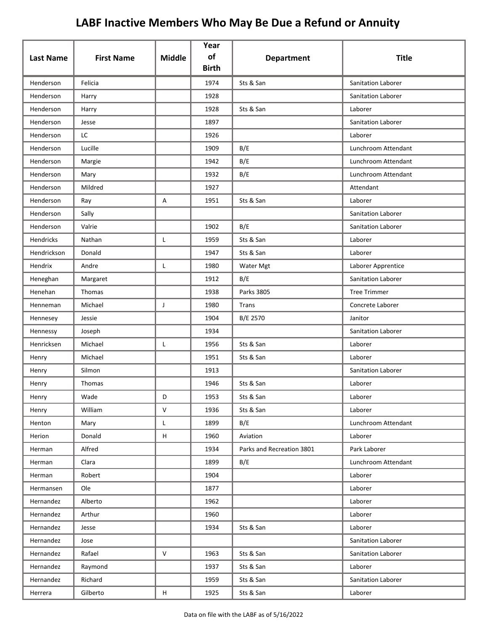|                  |                   |               | Year<br>of   |                           |                     |
|------------------|-------------------|---------------|--------------|---------------------------|---------------------|
| <b>Last Name</b> | <b>First Name</b> | <b>Middle</b> | <b>Birth</b> | <b>Department</b>         | <b>Title</b>        |
| Henderson        | Felicia           |               | 1974         | Sts & San                 | Sanitation Laborer  |
| Henderson        | Harry             |               | 1928         |                           | Sanitation Laborer  |
| Henderson        | Harry             |               | 1928         | Sts & San                 | Laborer             |
| Henderson        | Jesse             |               | 1897         |                           | Sanitation Laborer  |
| Henderson        | LC                |               | 1926         |                           | Laborer             |
| Henderson        | Lucille           |               | 1909         | B/E                       | Lunchroom Attendant |
| Henderson        | Margie            |               | 1942         | B/E                       | Lunchroom Attendant |
| Henderson        | Mary              |               | 1932         | B/E                       | Lunchroom Attendant |
| Henderson        | Mildred           |               | 1927         |                           | Attendant           |
| Henderson        | Ray               | A             | 1951         | Sts & San                 | Laborer             |
| Henderson        | Sally             |               |              |                           | Sanitation Laborer  |
| Henderson        | Valrie            |               | 1902         | B/E                       | Sanitation Laborer  |
| Hendricks        | Nathan            | L             | 1959         | Sts & San                 | Laborer             |
| Hendrickson      | Donald            |               | 1947         | Sts & San                 | Laborer             |
| Hendrix          | Andre             | L             | 1980         | Water Mgt                 | Laborer Apprentice  |
| Heneghan         | Margaret          |               | 1912         | B/E                       | Sanitation Laborer  |
| Henehan          | Thomas            |               | 1938         | Parks 3805                | <b>Tree Trimmer</b> |
| Henneman         | Michael           | J             | 1980         | Trans                     | Concrete Laborer    |
| Hennesey         | Jessie            |               | 1904         | B/E 2570                  | Janitor             |
| Hennessy         | Joseph            |               | 1934         |                           | Sanitation Laborer  |
| Henricksen       | Michael           | L             | 1956         | Sts & San                 | Laborer             |
| Henry            | Michael           |               | 1951         | Sts & San                 | Laborer             |
| Henry            | Silmon            |               | 1913         |                           | Sanitation Laborer  |
| Henry            | Thomas            |               | 1946         | Sts & San                 | Laborer             |
| Henry            | Wade              | D             | 1953         | Sts & San                 | Laborer             |
| Henry            | William           | $\vee$        | 1936         | Sts & San                 | Laborer             |
| Henton           | Mary              | L.            | 1899         | B/E                       | Lunchroom Attendant |
| Herion           | Donald            | H             | 1960         | Aviation                  | Laborer             |
| Herman           | Alfred            |               | 1934         | Parks and Recreation 3801 | Park Laborer        |
| Herman           | Clara             |               | 1899         | B/E                       | Lunchroom Attendant |
| Herman           | Robert            |               | 1904         |                           | Laborer             |
| Hermansen        | Ole               |               | 1877         |                           | Laborer             |
| Hernandez        | Alberto           |               | 1962         |                           | Laborer             |
| Hernandez        | Arthur            |               | 1960         |                           | Laborer             |
| Hernandez        | Jesse             |               | 1934         | Sts & San                 | Laborer             |
| Hernandez        | Jose              |               |              |                           | Sanitation Laborer  |
| Hernandez        | Rafael            | $\vee$        | 1963         | Sts & San                 | Sanitation Laborer  |
| Hernandez        | Raymond           |               | 1937         | Sts & San                 | Laborer             |
| Hernandez        | Richard           |               | 1959         | Sts & San                 | Sanitation Laborer  |
| Herrera          | Gilberto          | H             | 1925         | Sts & San                 | Laborer             |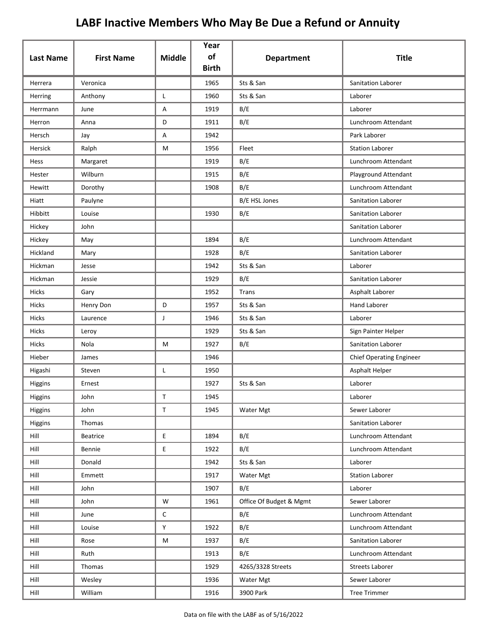| <b>Last Name</b> | <b>First Name</b> | <b>Middle</b> | Year<br>of<br><b>Birth</b> | <b>Department</b>       | <b>Title</b>                    |
|------------------|-------------------|---------------|----------------------------|-------------------------|---------------------------------|
| Herrera          | Veronica          |               | 1965                       | Sts & San               | Sanitation Laborer              |
| Herring          | Anthony           | L             | 1960                       | Sts & San               | Laborer                         |
| Herrmann         | June              | Α             | 1919                       | B/E                     | Laborer                         |
| Herron           | Anna              | D             | 1911                       | B/E                     | Lunchroom Attendant             |
| Hersch           | Jay               | А             | 1942                       |                         | Park Laborer                    |
| Hersick          | Ralph             | M             | 1956                       | Fleet                   | <b>Station Laborer</b>          |
| Hess             | Margaret          |               | 1919                       | B/E                     | Lunchroom Attendant             |
| Hester           | Wilburn           |               | 1915                       | B/E                     | Playground Attendant            |
| Hewitt           | Dorothy           |               | 1908                       | B/E                     | Lunchroom Attendant             |
| Hiatt            | Paulyne           |               |                            | B/E HSL Jones           | Sanitation Laborer              |
| Hibbitt          | Louise            |               | 1930                       | B/E                     | Sanitation Laborer              |
| Hickey           | John              |               |                            |                         | Sanitation Laborer              |
| Hickey           | May               |               | 1894                       | B/E                     | Lunchroom Attendant             |
| Hickland         | Mary              |               | 1928                       | B/E                     | Sanitation Laborer              |
| Hickman          | Jesse             |               | 1942                       | Sts & San               | Laborer                         |
| Hickman          | Jessie            |               | 1929                       | B/E                     | Sanitation Laborer              |
| <b>Hicks</b>     | Gary              |               | 1952                       | <b>Trans</b>            | Asphalt Laborer                 |
| Hicks            | Henry Don         | D             | 1957                       | Sts & San               | <b>Hand Laborer</b>             |
| <b>Hicks</b>     | Laurence          | $\mathsf{J}$  | 1946                       | Sts & San               | Laborer                         |
| <b>Hicks</b>     | Leroy             |               | 1929                       | Sts & San               | Sign Painter Helper             |
| <b>Hicks</b>     | Nola              | M             | 1927                       | B/E                     | Sanitation Laborer              |
| Hieber           | James             |               | 1946                       |                         | <b>Chief Operating Engineer</b> |
| Higashi          | Steven            | Г             | 1950                       |                         | Asphalt Helper                  |
| Higgins          | Ernest            |               | 1927                       | Sts & San               | Laborer                         |
| Higgins          | John              | $\mathsf{T}$  | 1945                       |                         | Laborer                         |
| Higgins          | John              | $\mathsf T$   | 1945                       | Water Mgt               | Sewer Laborer                   |
| Higgins          | Thomas            |               |                            |                         | Sanitation Laborer              |
| Hill             | <b>Beatrice</b>   | E.            | 1894                       | B/E                     | Lunchroom Attendant             |
| Hill             | Bennie            | E.            | 1922                       | B/E                     | Lunchroom Attendant             |
| Hill             | Donald            |               | 1942                       | Sts & San               | Laborer                         |
| Hill             | Emmett            |               | 1917                       | Water Mgt               | <b>Station Laborer</b>          |
| Hill             | John              |               | 1907                       | B/E                     | Laborer                         |
| Hill             | John              | W             | 1961                       | Office Of Budget & Mgmt | Sewer Laborer                   |
| Hill             | June              | $\mathsf{C}$  |                            | B/E                     | Lunchroom Attendant             |
| Hill             | Louise            | Y             | 1922                       | B/E                     | Lunchroom Attendant             |
| Hill             | Rose              | M             | 1937                       | B/E                     | Sanitation Laborer              |
| Hill             | Ruth              |               | 1913                       | B/E                     | Lunchroom Attendant             |
| Hill             | Thomas            |               | 1929                       | 4265/3328 Streets       | Streets Laborer                 |
| Hill             | Wesley            |               | 1936                       | Water Mgt               | Sewer Laborer                   |
| Hill             | William           |               | 1916                       | 3900 Park               | <b>Tree Trimmer</b>             |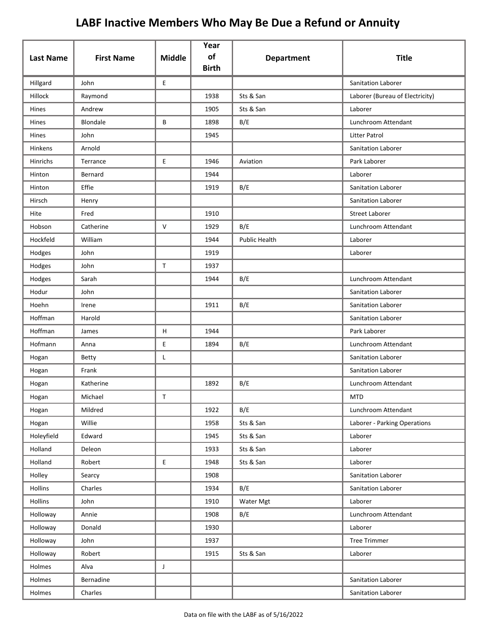| <b>Last Name</b> | <b>First Name</b> | <b>Middle</b> | Year<br>of   | <b>Department</b> | <b>Title</b>                    |
|------------------|-------------------|---------------|--------------|-------------------|---------------------------------|
|                  |                   |               | <b>Birth</b> |                   |                                 |
| Hillgard         | John              | E             |              |                   | Sanitation Laborer              |
| Hillock          | Raymond           |               | 1938         | Sts & San         | Laborer (Bureau of Electricity) |
| Hines            | Andrew            |               | 1905         | Sts & San         | Laborer                         |
| Hines            | Blondale          | В             | 1898         | B/E               | Lunchroom Attendant             |
| Hines            | John              |               | 1945         |                   | Litter Patrol                   |
| Hinkens          | Arnold            |               |              |                   | Sanitation Laborer              |
| Hinrichs         | Terrance          | E             | 1946         | Aviation          | Park Laborer                    |
| Hinton           | Bernard           |               | 1944         |                   | Laborer                         |
| Hinton           | Effie             |               | 1919         | B/E               | Sanitation Laborer              |
| Hirsch           | Henry             |               |              |                   | Sanitation Laborer              |
| Hite             | Fred              |               | 1910         |                   | <b>Street Laborer</b>           |
| Hobson           | Catherine         | $\mathsf{V}$  | 1929         | B/E               | Lunchroom Attendant             |
| Hockfeld         | William           |               | 1944         | Public Health     | Laborer                         |
| Hodges           | John              |               | 1919         |                   | Laborer                         |
| Hodges           | John              | $\mathsf{T}$  | 1937         |                   |                                 |
| Hodges           | Sarah             |               | 1944         | B/E               | Lunchroom Attendant             |
| Hodur            | John              |               |              |                   | Sanitation Laborer              |
| Hoehn            | Irene             |               | 1911         | B/E               | Sanitation Laborer              |
| Hoffman          | Harold            |               |              |                   | Sanitation Laborer              |
| Hoffman          | James             | H             | 1944         |                   | Park Laborer                    |
| Hofmann          | Anna              | E             | 1894         | B/E               | Lunchroom Attendant             |
| Hogan            | Betty             | Г             |              |                   | Sanitation Laborer              |
| Hogan            | Frank             |               |              |                   | Sanitation Laborer              |
| Hogan            | Katherine         |               | 1892         | B/E               | Lunchroom Attendant             |
| Hogan            | Michael           | T.            |              |                   | <b>MTD</b>                      |
| Hogan            | Mildred           |               | 1922         | B/E               | Lunchroom Attendant             |
| Hogan            | Willie            |               | 1958         | Sts & San         | Laborer - Parking Operations    |
| Holeyfield       | Edward            |               | 1945         | Sts & San         | Laborer                         |
| Holland          | Deleon            |               | 1933         | Sts & San         | Laborer                         |
| Holland          | Robert            | E             | 1948         | Sts & San         | Laborer                         |
| Holley           | Searcy            |               | 1908         |                   | Sanitation Laborer              |
| Hollins          | Charles           |               | 1934         | B/E               | Sanitation Laborer              |
| Hollins          | John              |               | 1910         | Water Mgt         | Laborer                         |
| Holloway         | Annie             |               | 1908         | B/E               | Lunchroom Attendant             |
| Holloway         | Donald            |               | 1930         |                   | Laborer                         |
| Holloway         | John              |               | 1937         |                   | <b>Tree Trimmer</b>             |
| Holloway         | Robert            |               | 1915         | Sts & San         | Laborer                         |
| Holmes           | Alva              | J             |              |                   |                                 |
| Holmes           | Bernadine         |               |              |                   | Sanitation Laborer              |
| Holmes           | Charles           |               |              |                   | Sanitation Laborer              |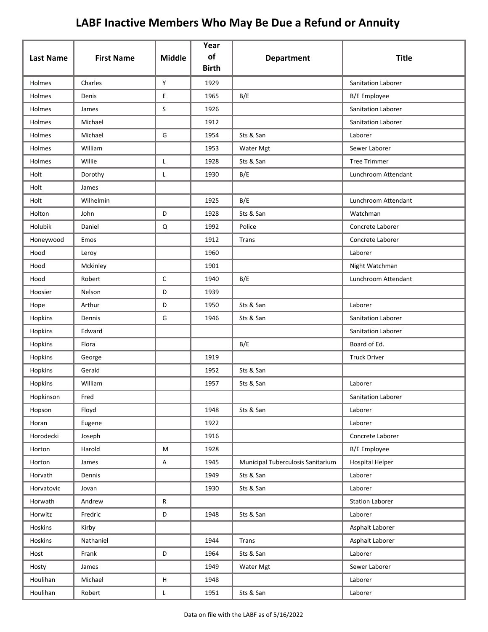| <b>Last Name</b> | <b>First Name</b> | <b>Middle</b> | Year<br>of<br><b>Birth</b> | <b>Department</b>                 | <b>Title</b>           |
|------------------|-------------------|---------------|----------------------------|-----------------------------------|------------------------|
| Holmes           | Charles           | Y             | 1929                       |                                   | Sanitation Laborer     |
| Holmes           | Denis             | E             | 1965                       | B/E                               | <b>B/E</b> Employee    |
| Holmes           | James             | S             | 1926                       |                                   | Sanitation Laborer     |
| Holmes           | Michael           |               | 1912                       |                                   | Sanitation Laborer     |
| Holmes           | Michael           | G             | 1954                       | Sts & San                         | Laborer                |
| Holmes           | William           |               | 1953                       | Water Mgt                         | Sewer Laborer          |
| Holmes           | Willie            | L             | 1928                       | Sts & San                         | <b>Tree Trimmer</b>    |
| Holt             | Dorothy           | Г             | 1930                       | B/E                               | Lunchroom Attendant    |
| Holt             | James             |               |                            |                                   |                        |
| Holt             | Wilhelmin         |               | 1925                       | B/E                               | Lunchroom Attendant    |
| Holton           | John              | D             | 1928                       | Sts & San                         | Watchman               |
| Holubik          | Daniel            | $\mathsf Q$   | 1992                       | Police                            | Concrete Laborer       |
| Honeywood        | Emos              |               | 1912                       | Trans                             | Concrete Laborer       |
| Hood             | Leroy             |               | 1960                       |                                   | Laborer                |
| Hood             | Mckinley          |               | 1901                       |                                   | Night Watchman         |
| Hood             | Robert            | $\mathsf{C}$  | 1940                       | B/E                               | Lunchroom Attendant    |
| Hoosier          | Nelson            | D             | 1939                       |                                   |                        |
| Hope             | Arthur            | D             | 1950                       | Sts & San                         | Laborer                |
| Hopkins          | Dennis            | G             | 1946                       | Sts & San                         | Sanitation Laborer     |
| Hopkins          | Edward            |               |                            |                                   | Sanitation Laborer     |
| Hopkins          | Flora             |               |                            | B/E                               | Board of Ed.           |
| Hopkins          | George            |               | 1919                       |                                   | <b>Truck Driver</b>    |
| Hopkins          | Gerald            |               | 1952                       | Sts & San                         |                        |
| Hopkins          | William           |               | 1957                       | Sts & San                         | Laborer                |
| Hopkinson        | Fred              |               |                            |                                   | Sanitation Laborer     |
| Hopson           | Floyd             |               | 1948                       | Sts & San                         | Laborer                |
| Horan            | Eugene            |               | 1922                       |                                   | Laborer                |
| Horodecki        | Joseph            |               | 1916                       |                                   | Concrete Laborer       |
| Horton           | Harold            | M             | 1928                       |                                   | <b>B/E</b> Employee    |
| Horton           | James             | $\mathsf A$   | 1945                       | Municipal Tuberculosis Sanitarium | <b>Hospital Helper</b> |
| Horvath          | Dennis            |               | 1949                       | Sts & San                         | Laborer                |
| Horvatovic       | Jovan             |               | 1930                       | Sts & San                         | Laborer                |
| Horwath          | Andrew            | R             |                            |                                   | <b>Station Laborer</b> |
| Horwitz          | Fredric           | $\mathsf D$   | 1948                       | Sts & San                         | Laborer                |
| Hoskins          | Kirby             |               |                            |                                   | Asphalt Laborer        |
| Hoskins          | Nathaniel         |               | 1944                       | Trans                             | Asphalt Laborer        |
| Host             | Frank             | D             | 1964                       | Sts & San                         | Laborer                |
| Hosty            | James             |               | 1949                       | Water Mgt                         | Sewer Laborer          |
| Houlihan         | Michael           | Н             | 1948                       |                                   | Laborer                |
| Houlihan         | Robert            | L             | 1951                       | Sts & San                         | Laborer                |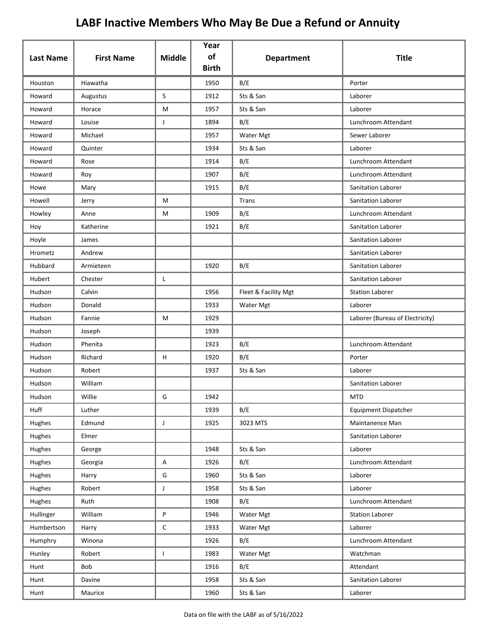| <b>Last Name</b> | <b>First Name</b> | <b>Middle</b> | Year<br>of<br><b>Birth</b> | <b>Department</b>    | <b>Title</b>                    |
|------------------|-------------------|---------------|----------------------------|----------------------|---------------------------------|
| Houston          | Hiawatha          |               | 1950                       | B/E                  | Porter                          |
| Howard           | Augustus          | S             | 1912                       | Sts & San            | Laborer                         |
| Howard           | Horace            | M             | 1957                       | Sts & San            | Laborer                         |
| Howard           | Louise            | J             | 1894                       | B/E                  | Lunchroom Attendant             |
| Howard           | Michael           |               | 1957                       | Water Mgt            | Sewer Laborer                   |
| Howard           | Quinter           |               | 1934                       | Sts & San            | Laborer                         |
| Howard           | Rose              |               | 1914                       | B/E                  | Lunchroom Attendant             |
| Howard           | Roy               |               | 1907                       | B/E                  | Lunchroom Attendant             |
| Howe             | Mary              |               | 1915                       | B/E                  | <b>Sanitation Laborer</b>       |
| Howell           | Jerry             | M             |                            | Trans                | Sanitation Laborer              |
| Howley           | Anne              | M             | 1909                       | B/E                  | Lunchroom Attendant             |
| Hoy              | Katherine         |               | 1921                       | B/E                  | Sanitation Laborer              |
| Hoyle            | James             |               |                            |                      | Sanitation Laborer              |
| Hrometz          | Andrew            |               |                            |                      | Sanitation Laborer              |
| Hubbard          | Armieteen         |               | 1920                       | B/E                  | Sanitation Laborer              |
| Hubert           | Chester           | L             |                            |                      | Sanitation Laborer              |
| Hudson           | Calvin            |               | 1956                       | Fleet & Facility Mgt | <b>Station Laborer</b>          |
| Hudson           | Donald            |               | 1933                       | Water Mgt            | Laborer                         |
| Hudson           | Fannie            | M             | 1929                       |                      | Laborer (Bureau of Electricity) |
| Hudson           | Joseph            |               | 1939                       |                      |                                 |
| Hudson           | Phenita           |               | 1923                       | B/E                  | Lunchroom Attendant             |
| Hudson           | Richard           | H             | 1920                       | B/E                  | Porter                          |
| Hudson           | Robert            |               | 1937                       | Sts & San            | Laborer                         |
| Hudson           | William           |               |                            |                      | <b>Sanitation Laborer</b>       |
| Hudson           | Willie            | G             | 1942                       |                      | <b>MTD</b>                      |
| Huff             | Luther            |               | 1939                       | B/E                  | <b>Equipment Dispatcher</b>     |
| Hughes           | Edmund            | $\mathsf{J}$  | 1925                       | 3023 MTS             | Maintanence Man                 |
| Hughes           | Elmer             |               |                            |                      | Sanitation Laborer              |
| Hughes           | George            |               | 1948                       | Sts & San            | Laborer                         |
| Hughes           | Georgia           | A             | 1926                       | B/E                  | Lunchroom Attendant             |
| Hughes           | Harry             | G             | 1960                       | Sts & San            | Laborer                         |
| Hughes           | Robert            | J             | 1958                       | Sts & San            | Laborer                         |
| Hughes           | Ruth              |               | 1908                       | B/E                  | Lunchroom Attendant             |
| Hullinger        | William           | P             | 1946                       | Water Mgt            | <b>Station Laborer</b>          |
| Humbertson       | Harry             | С             | 1933                       | Water Mgt            | Laborer                         |
| Humphry          | Winona            |               | 1926                       | B/E                  | Lunchroom Attendant             |
| Hunley           | Robert            | $\mathbf{I}$  | 1983                       | Water Mgt            | Watchman                        |
| Hunt             | Bob               |               | 1916                       | B/E                  | Attendant                       |
| Hunt             | Davine            |               | 1958                       | Sts & San            | Sanitation Laborer              |
| Hunt             | Maurice           |               | 1960                       | Sts & San            | Laborer                         |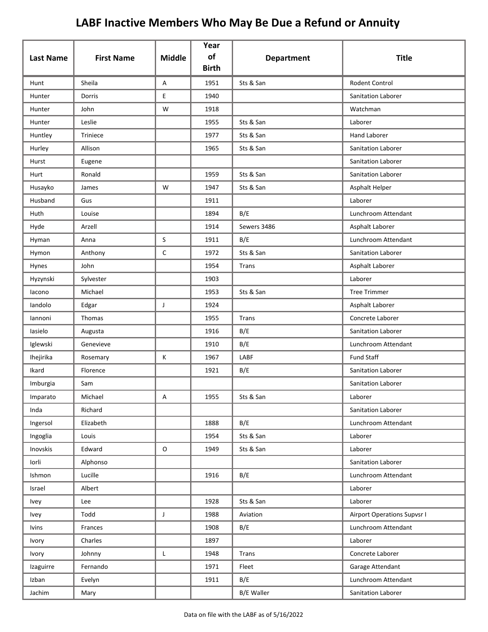| <b>Last Name</b> | <b>First Name</b> | <b>Middle</b> | Year<br>of<br><b>Birth</b> | <b>Department</b> | <b>Title</b>                       |
|------------------|-------------------|---------------|----------------------------|-------------------|------------------------------------|
| Hunt             | Sheila            | Α             | 1951                       | Sts & San         | <b>Rodent Control</b>              |
| Hunter           | Dorris            | E             | 1940                       |                   | Sanitation Laborer                 |
| Hunter           | John              | W             | 1918                       |                   | Watchman                           |
| Hunter           | Leslie            |               | 1955                       | Sts & San         | Laborer                            |
| Huntley          | Triniece          |               | 1977                       | Sts & San         | <b>Hand Laborer</b>                |
| Hurley           | Allison           |               | 1965                       | Sts & San         | Sanitation Laborer                 |
| Hurst            | Eugene            |               |                            |                   | Sanitation Laborer                 |
| Hurt             | Ronald            |               | 1959                       | Sts & San         | Sanitation Laborer                 |
| Husayko          | James             | W             | 1947                       | Sts & San         | Asphalt Helper                     |
| Husband          | Gus               |               | 1911                       |                   | Laborer                            |
| Huth             | Louise            |               | 1894                       | B/E               | Lunchroom Attendant                |
| Hyde             | Arzell            |               | 1914                       | Sewers 3486       | Asphalt Laborer                    |
| Hyman            | Anna              | S             | 1911                       | B/E               | Lunchroom Attendant                |
| Hymon            | Anthony           | С             | 1972                       | Sts & San         | Sanitation Laborer                 |
| Hynes            | John              |               | 1954                       | Trans             | Asphalt Laborer                    |
| Hyzynski         | Sylvester         |               | 1903                       |                   | Laborer                            |
| lacono           | Michael           |               | 1953                       | Sts & San         | <b>Tree Trimmer</b>                |
| landolo          | Edgar             | J             | 1924                       |                   | Asphalt Laborer                    |
| lannoni          | Thomas            |               | 1955                       | Trans             | Concrete Laborer                   |
| lasielo          | Augusta           |               | 1916                       | B/E               | Sanitation Laborer                 |
| Iglewski         | Genevieve         |               | 1910                       | B/E               | Lunchroom Attendant                |
| Ihejirika        | Rosemary          | К             | 1967                       | LABF              | <b>Fund Staff</b>                  |
| Ikard            | Florence          |               | 1921                       | B/E               | Sanitation Laborer                 |
| Imburgia         | Sam               |               |                            |                   | Sanitation Laborer                 |
| Imparato         | Michael           | Α             | 1955                       | Sts & San         | Laborer                            |
| Inda             | Richard           |               |                            |                   | Sanitation Laborer                 |
| Ingersol         | Elizabeth         |               | 1888                       | B/E               | Lunchroom Attendant                |
| Ingoglia         | Louis             |               | 1954                       | Sts & San         | Laborer                            |
| Inovskis         | Edward            | $\mathsf O$   | 1949                       | Sts & San         | Laborer                            |
| Iorli            | Alphonso          |               |                            |                   | Sanitation Laborer                 |
| Ishmon           | Lucille           |               | 1916                       | B/E               | Lunchroom Attendant                |
| Israel           | Albert            |               |                            |                   | Laborer                            |
| <b>Ivey</b>      | Lee               |               | 1928                       | Sts & San         | Laborer                            |
| Ivey             | Todd              | J             | 1988                       | Aviation          | <b>Airport Operations Supvsr I</b> |
| <b>lvins</b>     | Frances           |               | 1908                       | B/E               | Lunchroom Attendant                |
| Ivory            | Charles           |               | 1897                       |                   | Laborer                            |
| Ivory            | Johnny            | L             | 1948                       | Trans             | Concrete Laborer                   |
| Izaguirre        | Fernando          |               | 1971                       | Fleet             | Garage Attendant                   |
| Izban            | Evelyn            |               | 1911                       | B/E               | Lunchroom Attendant                |
| Jachim           | Mary              |               |                            | <b>B/E Waller</b> | Sanitation Laborer                 |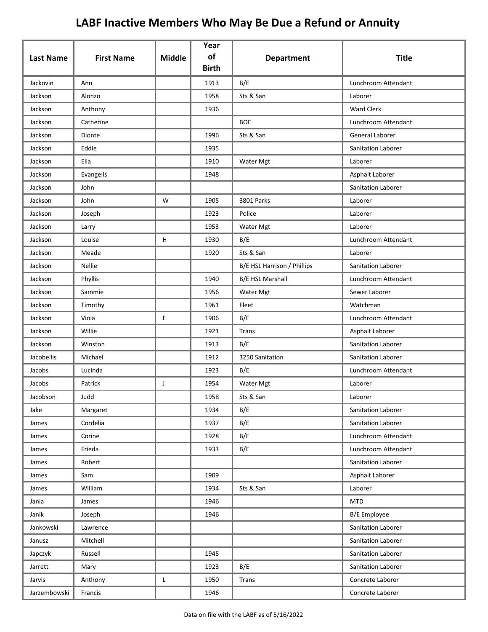|                  |                   |               | Year               |                             |                     |
|------------------|-------------------|---------------|--------------------|-----------------------------|---------------------|
| <b>Last Name</b> | <b>First Name</b> | <b>Middle</b> | of<br><b>Birth</b> | <b>Department</b>           | <b>Title</b>        |
| Jackovin         | Ann               |               | 1913               | B/E                         | Lunchroom Attendant |
| Jackson          | Alonzo            |               | 1958               | Sts & San                   | Laborer             |
| Jackson          | Anthony           |               | 1936               |                             | <b>Ward Clerk</b>   |
| Jackson          | Catherine         |               |                    | <b>BOE</b>                  | Lunchroom Attendant |
| Jackson          | Dionte            |               | 1996               | Sts & San                   | General Laborer     |
| Jackson          | Eddie             |               | 1935               |                             | Sanitation Laborer  |
| Jackson          | Elia              |               | 1910               | Water Mgt                   | Laborer             |
| Jackson          | Evangelis         |               | 1948               |                             | Asphalt Laborer     |
| Jackson          | John              |               |                    |                             | Sanitation Laborer  |
| Jackson          | John              | W             | 1905               | 3801 Parks                  | Laborer             |
| Jackson          | Joseph            |               | 1923               | Police                      | Laborer             |
| Jackson          | Larry             |               | 1953               | Water Mgt                   | Laborer             |
| Jackson          | Louise            | H             | 1930               | B/E                         | Lunchroom Attendant |
| Jackson          | Meade             |               | 1920               | Sts & San                   | Laborer             |
| Jackson          | <b>Nellie</b>     |               |                    | B/E HSL Harrison / Phillips | Sanitation Laborer  |
| Jackson          | Phyllis           |               | 1940               | <b>B/E HSL Marshall</b>     | Lunchroom Attendant |
| Jackson          | Sammie            |               | 1956               | Water Mgt                   | Sewer Laborer       |
| Jackson          | Timothy           |               | 1961               | Fleet                       | Watchman            |
| Jackson          | Viola             | E             | 1906               | B/E                         | Lunchroom Attendant |
| Jackson          | Willie            |               | 1921               | Trans                       | Asphalt Laborer     |
| Jackson          | Winston           |               | 1913               | B/E                         | Sanitation Laborer  |
| Jacobellis       | Michael           |               | 1912               | 3250 Sanitation             | Sanitation Laborer  |
| Jacobs           | Lucinda           |               | 1923               | B/E                         | Lunchroom Attendant |
| Jacobs           | Patrick           | J             | 1954               | Water Mgt                   | Laborer             |
| Jacobson         | Judd              |               | 1958               | Sts & San                   | Laborer             |
| Jake             | Margaret          |               | 1934               | B/E                         | Sanitation Laborer  |
| James            | Cordelia          |               | 1937               | B/E                         | Sanitation Laborer  |
| James            | Corine            |               | 1928               | B/E                         | Lunchroom Attendant |
| James            | Frieda            |               | 1933               | B/E                         | Lunchroom Attendant |
| James            | Robert            |               |                    |                             | Sanitation Laborer  |
| James            | Sam               |               | 1909               |                             | Asphalt Laborer     |
| James            | William           |               | 1934               | Sts & San                   | Laborer             |
| Jania            | James             |               | 1946               |                             | <b>MTD</b>          |
| Janik            | Joseph            |               | 1946               |                             | <b>B/E</b> Employee |
| Jankowski        | Lawrence          |               |                    |                             | Sanitation Laborer  |
| Janusz           | Mitchell          |               |                    |                             | Sanitation Laborer  |
| Japczyk          | Russell           |               | 1945               |                             | Sanitation Laborer  |
| Jarrett          | Mary              |               | 1923               | B/E                         | Sanitation Laborer  |
| Jarvis           | Anthony           | L             | 1950               | <b>Trans</b>                | Concrete Laborer    |
| Jarzembowski     | Francis           |               | 1946               |                             | Concrete Laborer    |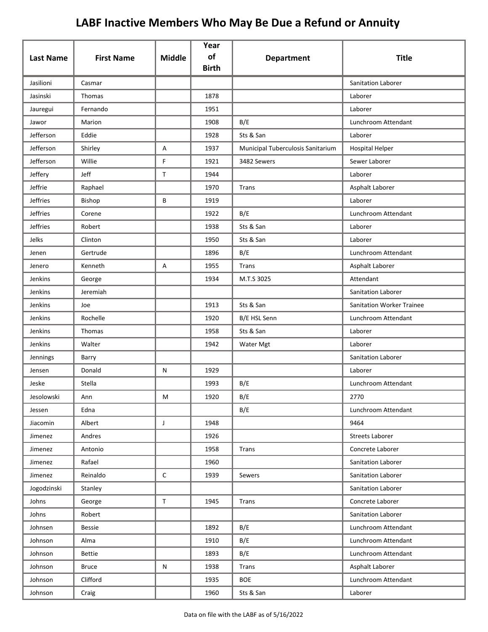|                  |                   |               | Year<br>of   |                                   |                                  |
|------------------|-------------------|---------------|--------------|-----------------------------------|----------------------------------|
| <b>Last Name</b> | <b>First Name</b> | <b>Middle</b> | <b>Birth</b> | <b>Department</b>                 | <b>Title</b>                     |
| Jasilioni        | Casmar            |               |              |                                   | Sanitation Laborer               |
| Jasinski         | Thomas            |               | 1878         |                                   | Laborer                          |
| Jauregui         | Fernando          |               | 1951         |                                   | Laborer                          |
| Jawor            | Marion            |               | 1908         | B/E                               | Lunchroom Attendant              |
| Jefferson        | Eddie             |               | 1928         | Sts & San                         | Laborer                          |
| Jefferson        | Shirley           | Α             | 1937         | Municipal Tuberculosis Sanitarium | <b>Hospital Helper</b>           |
| Jefferson        | Willie            | F             | 1921         | 3482 Sewers                       | Sewer Laborer                    |
| Jeffery          | Jeff              | $\mathsf{T}$  | 1944         |                                   | Laborer                          |
| Jeffrie          | Raphael           |               | 1970         | Trans                             | Asphalt Laborer                  |
| <b>Jeffries</b>  | Bishop            | В             | 1919         |                                   | Laborer                          |
| <b>Jeffries</b>  | Corene            |               | 1922         | B/E                               | Lunchroom Attendant              |
| <b>Jeffries</b>  | Robert            |               | 1938         | Sts & San                         | Laborer                          |
| Jelks            | Clinton           |               | 1950         | Sts & San                         | Laborer                          |
| Jenen            | Gertrude          |               | 1896         | B/E                               | Lunchroom Attendant              |
| Jenero           | Kenneth           | Α             | 1955         | <b>Trans</b>                      | Asphalt Laborer                  |
| Jenkins          | George            |               | 1934         | M.T.S 3025                        | Attendant                        |
| Jenkins          | Jeremiah          |               |              |                                   | Sanitation Laborer               |
| Jenkins          | Joe               |               | 1913         | Sts & San                         | <b>Sanitation Worker Trainee</b> |
| Jenkins          | Rochelle          |               | 1920         | B/E HSL Senn                      | Lunchroom Attendant              |
| Jenkins          | Thomas            |               | 1958         | Sts & San                         | Laborer                          |
| Jenkins          | Walter            |               | 1942         | Water Mgt                         | Laborer                          |
| Jennings         | Barry             |               |              |                                   | Sanitation Laborer               |
| Jensen           | Donald            | N             | 1929         |                                   | Laborer                          |
| Jeske            | Stella            |               | 1993         | B/E                               | Lunchroom Attendant              |
| Jesolowski       | Ann               | М             | 1920         | B/E                               | 2770                             |
| Jessen           | Edna              |               |              | B/E                               | Lunchroom Attendant              |
| Jiacomin         | Albert            | $\mathsf{J}$  | 1948         |                                   | 9464                             |
| Jimenez          | Andres            |               | 1926         |                                   | <b>Streets Laborer</b>           |
| Jimenez          | Antonio           |               | 1958         | Trans                             | Concrete Laborer                 |
| Jimenez          | Rafael            |               | 1960         |                                   | Sanitation Laborer               |
| Jimenez          | Reinaldo          | $\mathsf C$   | 1939         | Sewers                            | Sanitation Laborer               |
| Jogodzinski      | Stanley           |               |              |                                   | Sanitation Laborer               |
| Johns            | George            | $\mathsf T$   | 1945         | Trans                             | Concrete Laborer                 |
| Johns            | Robert            |               |              |                                   | Sanitation Laborer               |
| Johnsen          | <b>Bessie</b>     |               | 1892         | B/E                               | Lunchroom Attendant              |
| Johnson          | Alma              |               | 1910         | B/E                               | Lunchroom Attendant              |
| Johnson          | Bettie            |               | 1893         | B/E                               | Lunchroom Attendant              |
| Johnson          | <b>Bruce</b>      | N             | 1938         | <b>Trans</b>                      | Asphalt Laborer                  |
| Johnson          | Clifford          |               | 1935         | <b>BOE</b>                        | Lunchroom Attendant              |
| Johnson          | Craig             |               | 1960         | Sts & San                         | Laborer                          |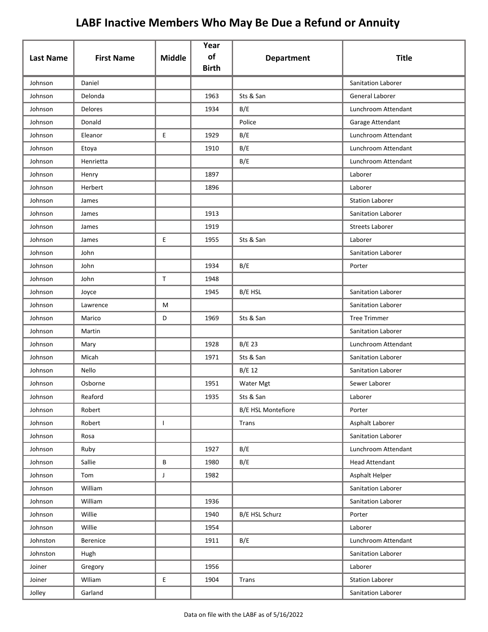| <b>Last Name</b> | <b>First Name</b> | <b>Middle</b> | Year<br>of   | <b>Department</b>         | <b>Title</b>           |
|------------------|-------------------|---------------|--------------|---------------------------|------------------------|
|                  |                   |               | <b>Birth</b> |                           |                        |
| Johnson          | Daniel            |               |              |                           | Sanitation Laborer     |
| Johnson          | Delonda           |               | 1963         | Sts & San                 | General Laborer        |
| Johnson          | Delores           |               | 1934         | B/E                       | Lunchroom Attendant    |
| Johnson          | Donald            |               |              | Police                    | Garage Attendant       |
| Johnson          | Eleanor           | E             | 1929         | B/E                       | Lunchroom Attendant    |
| Johnson          | Etoya             |               | 1910         | B/E                       | Lunchroom Attendant    |
| Johnson          | Henrietta         |               |              | B/E                       | Lunchroom Attendant    |
| Johnson          | Henry             |               | 1897         |                           | Laborer                |
| Johnson          | Herbert           |               | 1896         |                           | Laborer                |
| Johnson          | James             |               |              |                           | <b>Station Laborer</b> |
| Johnson          | James             |               | 1913         |                           | Sanitation Laborer     |
| Johnson          | James             |               | 1919         |                           | <b>Streets Laborer</b> |
| Johnson          | James             | E             | 1955         | Sts & San                 | Laborer                |
| Johnson          | John              |               |              |                           | Sanitation Laborer     |
| Johnson          | John              |               | 1934         | B/E                       | Porter                 |
| Johnson          | John              | $\mathsf T$   | 1948         |                           |                        |
| Johnson          | Joyce             |               | 1945         | B/E HSL                   | Sanitation Laborer     |
| Johnson          | Lawrence          | M             |              |                           | Sanitation Laborer     |
| Johnson          | Marico            | D             | 1969         | Sts & San                 | <b>Tree Trimmer</b>    |
| Johnson          | Martin            |               |              |                           | Sanitation Laborer     |
| Johnson          | Mary              |               | 1928         | B/E 23                    | Lunchroom Attendant    |
| Johnson          | Micah             |               | 1971         | Sts & San                 | Sanitation Laborer     |
| Johnson          | Nello             |               |              | B/E 12                    | Sanitation Laborer     |
| Johnson          | Osborne           |               | 1951         | Water Mgt                 | Sewer Laborer          |
| Johnson          | Reaford           |               | 1935         | Sts & San                 | Laborer                |
| Johnson          | Robert            |               |              | <b>B/E HSL Montefiore</b> | Porter                 |
| Johnson          | Robert            | $\mathbf{I}$  |              | Trans                     | Asphalt Laborer        |
| Johnson          | Rosa              |               |              |                           | Sanitation Laborer     |
| Johnson          | Ruby              |               | 1927         | B/E                       | Lunchroom Attendant    |
| Johnson          | Sallie            | В             | 1980         | B/E                       | <b>Head Attendant</b>  |
| Johnson          | Tom               | J             | 1982         |                           | Asphalt Helper         |
| Johnson          | William           |               |              |                           | Sanitation Laborer     |
| Johnson          | William           |               | 1936         |                           | Sanitation Laborer     |
| Johnson          | Willie            |               | 1940         | B/E HSL Schurz            | Porter                 |
| Johnson          | Willie            |               | 1954         |                           | Laborer                |
| Johnston         | Berenice          |               | 1911         | B/E                       | Lunchroom Attendant    |
| Johnston         | Hugh              |               |              |                           | Sanitation Laborer     |
| Joiner           | Gregory           |               | 1956         |                           | Laborer                |
| Joiner           | Wlliam            | E             | 1904         | Trans                     | <b>Station Laborer</b> |
| Jolley           | Garland           |               |              |                           | Sanitation Laborer     |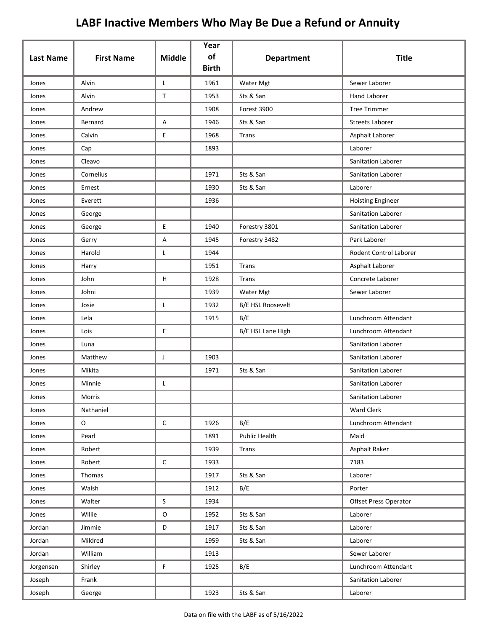| <b>Last Name</b> | <b>First Name</b> | <b>Middle</b> | Year<br>of<br><b>Birth</b> | <b>Department</b>        | <b>Title</b>                 |
|------------------|-------------------|---------------|----------------------------|--------------------------|------------------------------|
| Jones            | Alvin             | L             | 1961                       | Water Mgt                | Sewer Laborer                |
| Jones            | Alvin             | $\mathsf T$   | 1953                       | Sts & San                | <b>Hand Laborer</b>          |
| Jones            | Andrew            |               | 1908                       | Forest 3900              | <b>Tree Trimmer</b>          |
| Jones            | Bernard           | A             | 1946                       | Sts & San                | <b>Streets Laborer</b>       |
| Jones            | Calvin            | E             | 1968                       | Trans                    | Asphalt Laborer              |
| Jones            | Cap               |               | 1893                       |                          | Laborer                      |
| Jones            | Cleavo            |               |                            |                          | Sanitation Laborer           |
| Jones            | Cornelius         |               | 1971                       | Sts & San                | Sanitation Laborer           |
| Jones            | Ernest            |               | 1930                       | Sts & San                | Laborer                      |
| Jones            | Everett           |               | 1936                       |                          | <b>Hoisting Engineer</b>     |
| Jones            | George            |               |                            |                          | Sanitation Laborer           |
| Jones            | George            | E             | 1940                       | Forestry 3801            | Sanitation Laborer           |
| Jones            | Gerry             | Α             | 1945                       | Forestry 3482            | Park Laborer                 |
| Jones            | Harold            | L             | 1944                       |                          | Rodent Control Laborer       |
| Jones            | Harry             |               | 1951                       | Trans                    | Asphalt Laborer              |
| Jones            | John              | H             | 1928                       | Trans                    | Concrete Laborer             |
| Jones            | Johni             |               | 1939                       | Water Mgt                | Sewer Laborer                |
| Jones            | Josie             | L             | 1932                       | <b>B/E HSL Roosevelt</b> |                              |
| Jones            | Lela              |               | 1915                       | B/E                      | Lunchroom Attendant          |
| Jones            | Lois              | E             |                            | B/E HSL Lane High        | Lunchroom Attendant          |
| Jones            | Luna              |               |                            |                          | Sanitation Laborer           |
| Jones            | Matthew           | J             | 1903                       |                          | Sanitation Laborer           |
| Jones            | Mikita            |               | 1971                       | Sts & San                | Sanitation Laborer           |
| Jones            | Minnie            | L             |                            |                          | Sanitation Laborer           |
| Jones            | Morris            |               |                            |                          | Sanitation Laborer           |
| Jones            | Nathaniel         |               |                            |                          | Ward Clerk                   |
| Jones            | $\mathsf O$       | $\mathsf C$   | 1926                       | B/E                      | Lunchroom Attendant          |
| Jones            | Pearl             |               | 1891                       | Public Health            | Maid                         |
| Jones            | Robert            |               | 1939                       | Trans                    | Asphalt Raker                |
| Jones            | Robert            | $\mathsf C$   | 1933                       |                          | 7183                         |
| Jones            | Thomas            |               | 1917                       | Sts & San                | Laborer                      |
| Jones            | Walsh             |               | 1912                       | B/E                      | Porter                       |
| Jones            | Walter            | $\mathsf S$   | 1934                       |                          | <b>Offset Press Operator</b> |
| Jones            | Willie            | $\mathsf O$   | 1952                       | Sts & San                | Laborer                      |
| Jordan           | Jimmie            | D             | 1917                       | Sts & San                | Laborer                      |
| Jordan           | Mildred           |               | 1959                       | Sts & San                | Laborer                      |
| Jordan           | William           |               | 1913                       |                          | Sewer Laborer                |
| Jorgensen        | Shirley           | $\mathsf F$   | 1925                       | B/E                      | Lunchroom Attendant          |
| Joseph           | Frank             |               |                            |                          | Sanitation Laborer           |
| Joseph           | George            |               | 1923                       | Sts & San                | Laborer                      |